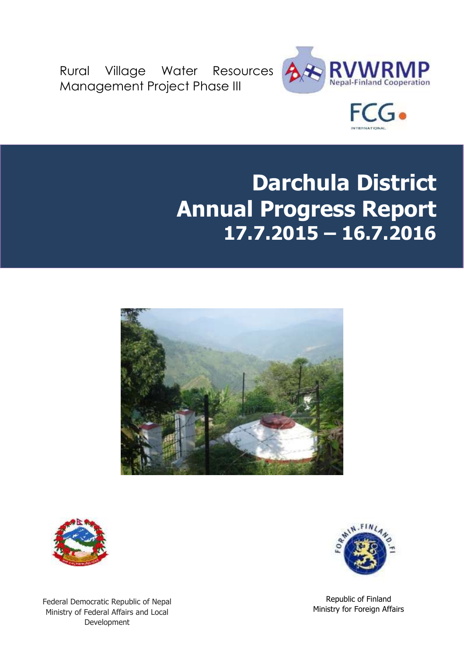Rural Village Water Resources Management Project Phase III





# **Darchula District Annual Progress Report 17.7.2015 – 16.7.2016**





Federal Democratic Republic of Nepal Ministry of Federal Affairs and Local Development



Republic of Finland Ministry for Foreign Affairs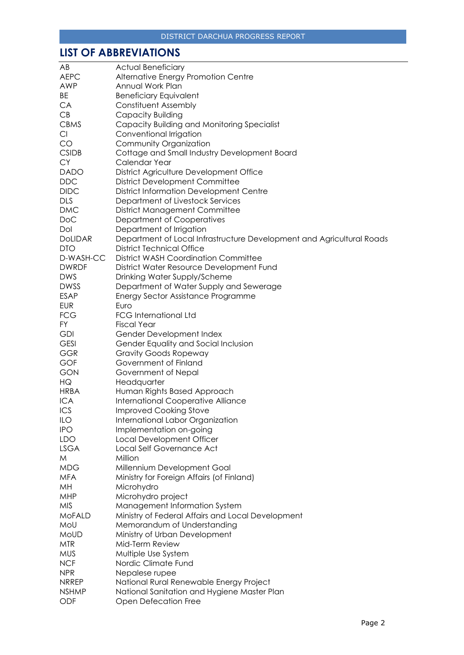### <span id="page-1-0"></span>**LIST OF ABBREVIATIONS**

| AB             | <b>Actual Beneficiary</b>                                             |
|----------------|-----------------------------------------------------------------------|
| <b>AEPC</b>    | Alternative Energy Promotion Centre                                   |
| <b>AWP</b>     | Annual Work Plan                                                      |
| BE             | <b>Beneficiary Equivalent</b>                                         |
| CA             | Constituent Assembly                                                  |
| CB             | Capacity Building                                                     |
| <b>CBMS</b>    | Capacity Building and Monitoring Specialist                           |
| Cl             | Conventional Irrigation                                               |
| CO             | Community Organization                                                |
| <b>CSIDB</b>   | Cottage and Small Industry Development Board                          |
| <b>CY</b>      | Calendar Year                                                         |
| <b>DADO</b>    |                                                                       |
|                | District Agriculture Development Office                               |
| <b>DDC</b>     | <b>District Development Committee</b>                                 |
| <b>DIDC</b>    | <b>District Information Development Centre</b>                        |
| <b>DLS</b>     | Department of Livestock Services                                      |
| <b>DMC</b>     | <b>District Management Committee</b>                                  |
| <b>DoC</b>     | Department of Cooperatives                                            |
| Dol            | Department of Irrigation                                              |
| <b>DoLIDAR</b> | Department of Local Infrastructure Development and Agricultural Roads |
| <b>DTO</b>     | <b>District Technical Office</b>                                      |
| D-WASH-CC      | <b>District WASH Coordination Committee</b>                           |
| <b>DWRDF</b>   | District Water Resource Development Fund                              |
| <b>DWS</b>     | Drinking Water Supply/Scheme                                          |
| <b>DWSS</b>    | Department of Water Supply and Sewerage                               |
| <b>ESAP</b>    | Energy Sector Assistance Programme                                    |
| <b>EUR</b>     | Euro                                                                  |
| <b>FCG</b>     | <b>FCG International Ltd</b>                                          |
| FY.            | <b>Fiscal Year</b>                                                    |
| <b>GDI</b>     | Gender Development Index                                              |
| <b>GESI</b>    | Gender Equality and Social Inclusion                                  |
| <b>GGR</b>     | <b>Gravity Goods Ropeway</b>                                          |
| GOF            | Government of Finland                                                 |
| <b>GON</b>     | Government of Nepal                                                   |
| HQ             | Headquarter                                                           |
| <b>HRBA</b>    | Human Rights Based Approach                                           |
| <b>ICA</b>     | <b>International Cooperative Alliance</b>                             |
| ICS            | <b>Improved Cooking Stove</b>                                         |
| ILO            | International Labor Organization                                      |
| <b>IPO</b>     | Implementation on-going                                               |
| <b>LDO</b>     | Local Development Officer                                             |
| <b>LSGA</b>    | Local Self Governance Act                                             |
| M              | Million                                                               |
| <b>MDG</b>     | Millennium Development Goal                                           |
| <b>MFA</b>     | Ministry for Foreign Affairs (of Finland)                             |
| MH             | Microhydro                                                            |
| <b>MHP</b>     | Microhydro project                                                    |
| <b>MIS</b>     | Management Information System                                         |
| <b>MoFALD</b>  | Ministry of Federal Affairs and Local Development                     |
| MoU            | Memorandum of Understanding                                           |
| <b>MoUD</b>    | Ministry of Urban Development                                         |
| <b>MTR</b>     | Mid-Term Review                                                       |
| <b>MUS</b>     | Multiple Use System                                                   |
| <b>NCF</b>     | Nordic Climate Fund                                                   |
| <b>NPR</b>     |                                                                       |
|                | Nepalese rupee                                                        |
| <b>NRREP</b>   | National Rural Renewable Energy Project                               |
| <b>NSHMP</b>   | National Sanitation and Hygiene Master Plan                           |
| ODF            | Open Defecation Free                                                  |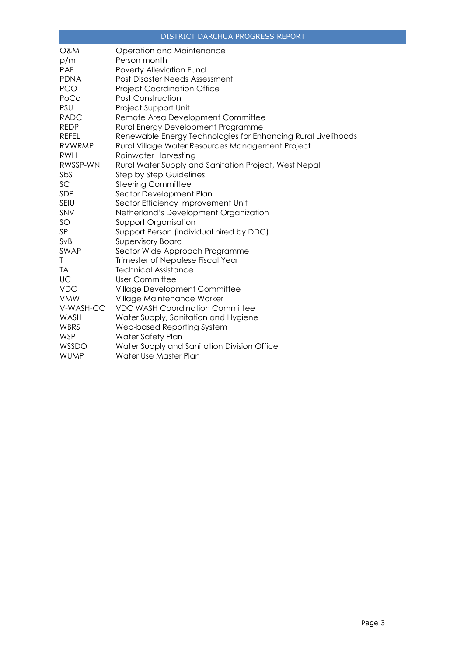| <b>O&amp;M</b> | Operation and Maintenance                                     |
|----------------|---------------------------------------------------------------|
| p/m            | Person month                                                  |
| PAF            | Poverty Alleviation Fund                                      |
| <b>PDNA</b>    | Post Disaster Needs Assessment                                |
| <b>PCO</b>     | <b>Project Coordination Office</b>                            |
| PoCo           | <b>Post Construction</b>                                      |
| PSU            | Project Support Unit                                          |
| <b>RADC</b>    | Remote Area Development Committee                             |
| <b>REDP</b>    | Rural Energy Development Programme                            |
| <b>REFEL</b>   | Renewable Energy Technologies for Enhancing Rural Livelihoods |
| <b>RVWRMP</b>  | Rural Village Water Resources Management Project              |
| <b>RWH</b>     | Rainwater Harvesting                                          |
| RWSSP-WN       | Rural Water Supply and Sanitation Project, West Nepal         |
| SbS            | <b>Step by Step Guidelines</b>                                |
| SC             | <b>Steering Committee</b>                                     |
| SDP            | Sector Development Plan                                       |
| <b>SEIU</b>    | Sector Efficiency Improvement Unit                            |
| SNV            | Netherland's Development Organization                         |
| SO             | <b>Support Organisation</b>                                   |
| SP             | Support Person (individual hired by DDC)                      |
| SvB            | <b>Supervisory Board</b>                                      |
| SWAP           | Sector Wide Approach Programme                                |
| Τ              | Trimester of Nepalese Fiscal Year                             |
| <b>TA</b>      | <b>Technical Assistance</b>                                   |
| UC             | <b>User Committee</b>                                         |
| <b>VDC</b>     | Village Development Committee                                 |
| <b>VMW</b>     | Village Maintenance Worker                                    |
| V-WASH-CC      | <b>VDC WASH Coordination Committee</b>                        |
| WASH           | Water Supply, Sanitation and Hygiene                          |
| <b>WBRS</b>    | Web-based Reporting System                                    |
| <b>WSP</b>     | Water Safety Plan                                             |
| WSSDO          | Water Supply and Sanitation Division Office                   |
| <b>WUMP</b>    | Water Use Master Plan                                         |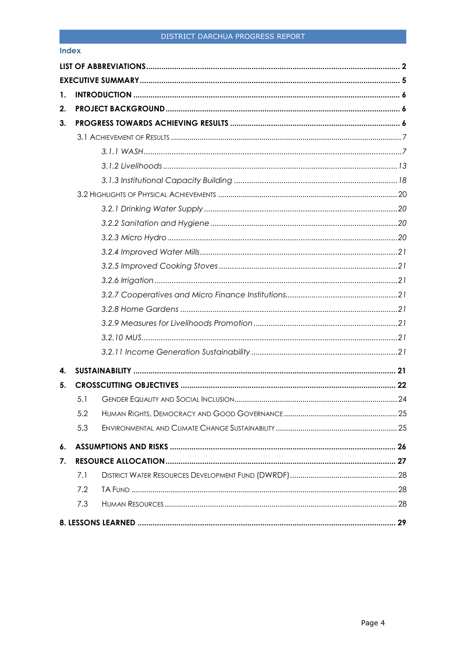#### **Index**

| 1. |     |  |
|----|-----|--|
| 2. |     |  |
| 3. |     |  |
|    |     |  |
|    |     |  |
|    |     |  |
|    |     |  |
|    |     |  |
|    |     |  |
|    |     |  |
|    |     |  |
|    |     |  |
|    |     |  |
|    |     |  |
|    |     |  |
|    |     |  |
|    |     |  |
|    |     |  |
|    |     |  |
| 4. |     |  |
| 5. |     |  |
|    | 5.1 |  |
|    | 5.2 |  |
|    | 5.3 |  |
| 6. |     |  |
| 7. |     |  |
|    | 7.1 |  |
|    | 7.2 |  |
|    | 7.3 |  |
|    |     |  |
|    |     |  |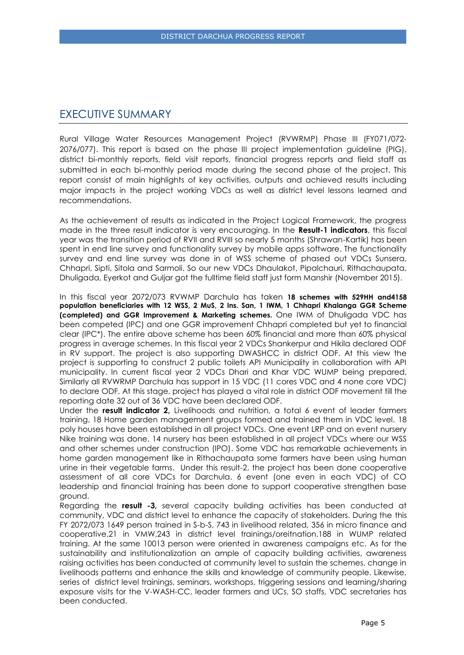### <span id="page-4-0"></span>EXECUTIVE SUMMARY

Rural Village Water Resources Management Project (RVWRMP) Phase III (FY071/072- 2076/077). This report is based on the phase III project implementation guideline (PIG), district bi-monthly reports, field visit reports, financial progress reports and field staff as submitted in each bi-monthly period made during the second phase of the project. This report consist of main highlights of key activities, outputs and achieved results including major impacts in the project working VDCs as well as district level lessons learned and recommendations.

As the achievement of results as indicated in the Project Logical Framework, the progress made in the three result indicator is very encouraging. In the **Result-1 indicators**, this fiscal year was the transition period of RVII and RVIII so nearly 5 months (Shrawan-Kartik) has been spent in end line survey and functionality survey by mobile apps software. The functionality survey and end line survey was done in of WSS scheme of phased out VDCs Sunsera, Chhapri, Sipti, Sitola and Sarmoli. So our new VDCs Dhaulakot, Pipalchauri, Rithachaupata, Dhuligada, Eyerkot and Guljar got the fulltime field staff just form Manshir (November 2015).

In this fiscal year 2072/073 RVWMP Darchula has taken **18 schemes with 529HH and4158 population beneficiaries with 12 WSS, 2 MuS, 2 Ins. San, 1 IWM, 1 Chhapri Khalanga GGR Scheme (completed) and GGR Improvement & Marketing schemes.** One IWM of Dhuligada VDC has been competed (IPC) and one GGR improvement Chhapri completed but yet to financial clear (IPC\*). The entire above scheme has been 60% financial and more than 60% physical progress in average schemes. In this fiscal year 2 VDCs Shankerpur and Hikila declared ODF in RV support. The project is also supporting DWASHCC in district ODF. At this view the project is supporting to construct 2 public toilets API Municipality in collaboration with API municipality. In current fiscal year 2 VDCs Dhari and Khar VDC WUMP being prepared, Similarly all RVWRMP Darchula has support in 15 VDC (11 cores VDC and 4 none core VDC) to declare ODF. At this stage, project has played a vital role in district ODF movement till the reporting date 32 out of 36 VDC have been declared ODF.

Under the **result indicator 2,** Livelihoods and nutrition, a total 6 event of leader farmers training, 18 Home garden management groups formed and trained them in VDC level. 18 poly houses have been established in all project VDCs. One event LRP and on event nursery Nike training was done. 14 nursery has been established in all project VDCs where our WSS and other schemes under construction (IPO). Some VDC has remarkable achievements in home garden management like in Rithachaupata some farmers have been using human urine in their vegetable farms. Under this result-2, the project has been done cooperative assessment of all core VDCs for Darchula. 6 event (one even in each VDC) of CO leadership and financial training has been done to support cooperative strengthen base ground.

Regarding the **result -3,** several capacity building activities has been conducted at community, VDC and district level to enhance the capacity of stakeholders. During the this FY 2072/073 1649 person trained in S-b-S, 743 in livelihood related, 356 in micro finance and cooperative,21 in VMW,243 in district level trainings/oreitnation,188 in WUMP related training. At the same 10013 person were oriented in awareness campaigns etc. As for the sustainability and institutionalization an ample of capacity building activities, awareness raising activities has been conducted at community level to sustain the schemes, change in livelihoods patterns and enhance the skills and knowledge of community people. Likewise, series of district level trainings, seminars, workshops, triggering sessions and learning/sharing exposure visits for the V-WASH-CC, leader farmers and UCs, SO staffs, VDC secretaries has been conducted.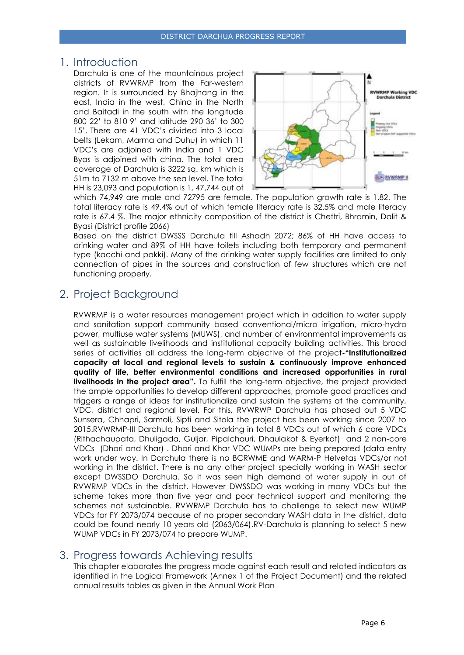### <span id="page-5-0"></span>1. Introduction

Darchula is one of the mountainous project districts of RVWRMP from the Far-western region. It is surrounded by Bhajhang in the east, India in the west, China in the North and Baitadi in the south with the longitude 800 22' to 810 9' and latitude 290 36' to 300 15'. There are 41 VDC's divided into 3 local belts (Lekam, Marma and Duhu) in which 11 VDC's are adjoined with India and 1 VDC Byas is adjoined with china. The total area coverage of Darchula is 3222 sq. km which is 51m to 7132 m above the sea level. The total HH is 23,093 and population is 1, 47,744 out of



which 74,949 are male and 72795 are female. The population growth rate is 1.82. The total literacy rate is 49.4% out of which female literacy rate is 32.5% and male literacy rate is 67.4 %. The major ethnicity composition of the district is Chettri, Bhramin, Dalit & Byasi (District profile 2066)

Based on the district DWSSS Darchula till Ashadh 2072; 86% of HH have access to drinking water and 89% of HH have toilets including both temporary and permanent type (kacchi and pakki). Many of the drinking water supply facilities are limited to only connection of pipes in the sources and construction of few structures which are not functioning properly.

### <span id="page-5-1"></span>2. Project Background

RVWRMP is a water resources management project which in addition to water supply and sanitation support community based conventional/micro irrigation, micro-hydro power, multiuse water systems (MUWS), and number of environmental improvements as well as sustainable livelihoods and institutional capacity building activities. This broad series of activities all address the long-term objective of the project**-"Institutionalized capacity at local and regional levels to sustain & continuously improve enhanced quality of life, better environmental conditions and increased opportunities in rural livelihoods in the project area".** To fulfill the long-term objective, the project provided the ample opportunities to develop different approaches, promote good practices and triggers a range of ideas for institutionalize and sustain the systems at the community, VDC, district and regional level. For this, RVWRWP Darchula has phased out 5 VDC Sunsera, Chhapri, Sarmoli, Sipti and Sitola the project has been working since 2007 to 2015.RVWRMP-III Darchula has been working in total 8 VDCs out of which 6 core VDCs (Rithachaupata, Dhuligada, Guljar, Pipalchauri, Dhaulakot & Eyerkot) and 2 non-core VDCs (Dhari and Khar) . Dhari and Khar VDC WUMPs are being prepared (data entry work under way. In Darchula there is no BCRWME and WARM-P Helvetas VDCs/or not working in the district. There is no any other project specially working in WASH sector except DWSSDO Darchula. So it was seen high demand of water supply in out of RVWRMP VDCs in the district. However DWSSDO was working in many VDCs but the scheme takes more than five year and poor technical support and monitoring the schemes not sustainable. RVWRMP Darchula has to challenge to select new WUMP VDCs for FY 2073/074 because of no proper secondary WASH data in the district, data could be found nearly 10 years old (2063/064).RV-Darchula is planning to select 5 new WUMP VDCs in FY 2073/074 to prepare WUMP.

### <span id="page-5-2"></span>3. Progress towards Achieving results

This chapter elaborates the progress made against each result and related indicators as identified in the Logical Framework (Annex 1 of the Project Document) and the related annual results tables as given in the Annual Work Plan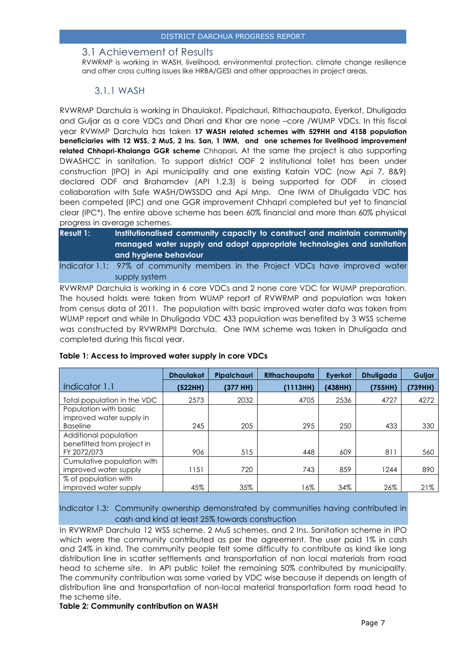#### <span id="page-6-0"></span>3.1 Achievement of Results

RVWRMP is working in WASH, livelihood, environmental protection, climate change resilience and other cross cutting issues like HRBA/GESI and other approaches in project areas.

#### 3.1.1 WASH

<span id="page-6-1"></span>RVWRMP Darchula is working in Dhaulakot, Pipalchauri, Rithachaupata, Eyerkot, Dhuligada and Guljar as a core VDCs and Dhari and Khar are none –core /WUMP VDCs. In this fiscal year RVWMP Darchula has taken **17 WASH related schemes with 529HH and 4158 population beneficiaries with 12 WSS, 2 MuS, 2 Ins. San, 1 IWM, and one schemes for livelihood improvement related Chhapri-Khalanga GGR scheme** Chhapari**.** At the same the project is also supporting DWASHCC in sanitation. To support district ODF 2 institutional toilet has been under construction (IPO) in Api municipality and one existing Katain VDC (now Api 7, 8&9) declared ODF and Brahamdev (API 1,2,3) is being supported for ODF in closed collaboration with Safe WASH/DWSSDO and Api Mnp. One IWM of Dhuligada VDC has been competed (IPC) and one GGR improvement Chhapri completed but yet to financial clear (IPC\*). The entire above scheme has been 60% financial and more than 60% physical progress in average schemes.

| <b>Result 1:</b> | Institutionalised community capacity to construct and maintain community        |
|------------------|---------------------------------------------------------------------------------|
|                  | managed water supply and adopt appropriate technologies and sanitation          |
|                  | and hygiene behaviour '                                                         |
|                  | Indicator 1.1: 97% of community members in the Project VDCs have improved water |

supply system

RVWRMP Darchula is working in 6 core VDCs and 2 none core VDC for WUMP preparation. The housed holds were taken from WUMP report of RVWRMP and population was taken from census data of 2011. The population with basic improved water data was taken from WUMP report and while In Dhuligada VDC 433 population was benefited by 3 WSS scheme was constructed by RVWRMPII Darchula. One IWM scheme was taken in Dhuligada and completed during this fiscal year.

|                             | <b>Dhaulakot</b> | Pipalchauri | Rithachaupata | Eyerkot | <b>Dhuligada</b> | Guljar  |
|-----------------------------|------------------|-------------|---------------|---------|------------------|---------|
| Indicator 1.1               | (522HH)          | (377 HH)    | (1113HH)      | (438HH) | (755HH)          | (739HH) |
| Total population in the VDC | 2573             | 2032        | 4705          | 2536    | 4727             | 4272    |
| Population with basic       |                  |             |               |         |                  |         |
| improved water supply in    |                  |             |               |         |                  |         |
| <b>Baseline</b>             | 245              | 205         | 295           | 250     | 433              | 330     |
| Additional population       |                  |             |               |         |                  |         |
| benefitted from project in  |                  |             |               |         |                  |         |
| FY 2072/073                 | 906              | 515         | 448           | 609     | 811              | 560     |
| Cumulative population with  |                  |             |               |         |                  |         |
| improved water supply       | 1151             | 720         | 743           | 859     | 1244             | 890     |
| % of population with        |                  |             |               |         |                  |         |
| improved water supply       | 45%              | 35%         | 16%           | 34%     | 26%              | 21%     |

#### **Table 1: Access to improved water supply in core VDCs**

Indicator 1.3: Community ownership demonstrated by communities having contributed in cash and kind at least 25% towards construction

In RVWRMP Darchula 12 WSS scheme, 2 MuS schemes, and 2 Ins. Sanitation scheme in IPO which were the community contributed as per the agreement. The user paid 1% in cash and 24% in kind. The community people felt some difficulty to contribute as kind like long distribution line in scatter settlements and transportation of non local materials from road head to scheme site. In API public toilet the remaining 50% contributed by municipality. The community contribution was some varied by VDC wise because it depends on length of distribution line and transportation of non-local material transportation form road head to the scheme site.

#### **Table 2: Community contribution on WASH**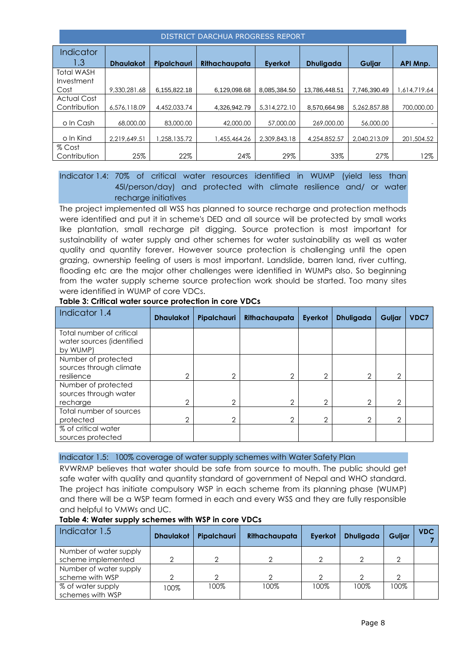| DISTRICT DARCHUA PROGRESS REPORT   |                  |                    |               |                |                  |              |                 |  |  |  |
|------------------------------------|------------------|--------------------|---------------|----------------|------------------|--------------|-----------------|--|--|--|
| <b>Indicator</b>                   |                  |                    |               |                |                  |              |                 |  |  |  |
| 1.3                                | <b>Dhaulakot</b> | <b>Pipalchauri</b> | Rithachaupata | <b>Everkot</b> | <b>Dhuligada</b> | Guljar       | <b>API Mnp.</b> |  |  |  |
| Total WASH<br>Investment           |                  |                    |               |                |                  |              |                 |  |  |  |
| Cost                               | 9.330.281.68     | 6,155,822.18       | 6,129,098.68  | 8.085.384.50   | 13.786.448.51    | 7.746.390.49 | 1,614,719.64    |  |  |  |
| <b>Actual Cost</b><br>Contribution | 6.576.118.09     | 4,452,033,74       | 4.326.942.79  | 5.314.272.10   | 8.570.664.98     | 5.262.857.88 | 700,000.00      |  |  |  |
| o In Cash                          | 68,000.00        | 83,000,00          | 42,000.00     | 57,000.00      | 269,000.00       | 56,000.00    |                 |  |  |  |
| o In Kind                          | 2,219,649.51     | .258.135.72        | 1,455,464.26  | 2.309.843.18   | 4,254,852.57     | 2.040.213.09 | 201,504.52      |  |  |  |
| % Cost                             |                  |                    |               |                |                  |              |                 |  |  |  |
| Contribution                       | 25%              | 22%                | 24%           | 29%            | 33%              | 27%          | 12%             |  |  |  |

#### Indicator 1.4: 70% of critical water resources identified in WUMP (yield less than 45l/person/day) and protected with climate resilience and/ or water recharge initiatives

The project implemented all WSS has planned to source recharge and protection methods were identified and put it in scheme's DED and all source will be protected by small works like plantation, small recharge pit digging. Source protection is most important for sustainability of water supply and other schemes for water sustainability as well as water quality and quantity forever. However source protection is challenging until the open grazing, ownership feeling of users is most important. Landslide, barren land, river cutting, flooding etc are the major other challenges were identified in WUMPs also. So beginning from the water supply scheme source protection work should be started. Too many sites were identified in WUMP of core VDCs.

| Indicator 1.4                                                     | <b>Dhaulakot</b> | Pipalchauri | Rithachaupata | Eyerkot | <b>Dhuligada</b> | Guljar         | <b>VDC7</b> |
|-------------------------------------------------------------------|------------------|-------------|---------------|---------|------------------|----------------|-------------|
| Total number of critical<br>water sources (identified<br>by WUMP) |                  |             |               |         |                  |                |             |
| Number of protected<br>sources through climate<br>resilience      | $\overline{2}$   | っ           | ↷             | ⌒       | $\overline{2}$   | 2              |             |
| Number of protected<br>sources through water<br>recharge          | $\overline{2}$   | 2           | 2             | ⌒       | $\overline{2}$   | $\overline{2}$ |             |
| Total number of sources<br>protected                              | 2                | 2           | 2             | ⌒       | $\overline{2}$   | $\overline{2}$ |             |
| % of critical water<br>sources protected                          |                  |             |               |         |                  |                |             |

#### **Table 3: Critical water source protection in core VDCs**

#### Indicator 1.5: 100% coverage of water supply schemes with Water Safety Plan

RVWRMP believes that water should be safe from source to mouth. The public should get safe water with quality and quantity standard of government of Nepal and WHO standard. The project has initiate compulsory WSP in each scheme from its planning phase (WUMP) and there will be a WSP team formed in each and every WSS and they are fully responsible and helpful to VMWs and UC.

| Indicator 1.5          | <b>Dhaulakot</b> | Pipalchauri | Rithachaupata | Eyerkot | <b>Dhuligada</b> | Guljar | <b>VDC</b> |
|------------------------|------------------|-------------|---------------|---------|------------------|--------|------------|
| Number of water supply |                  |             |               |         |                  |        |            |
| scheme implemented     |                  |             |               |         |                  |        |            |
| Number of water supply |                  |             |               |         |                  |        |            |
| scheme with WSP        |                  |             |               |         |                  |        |            |
| % of water supply      | 100%             | 100%        | 100%          | 100%    | 100%             | 100%   |            |
| schemes with WSP       |                  |             |               |         |                  |        |            |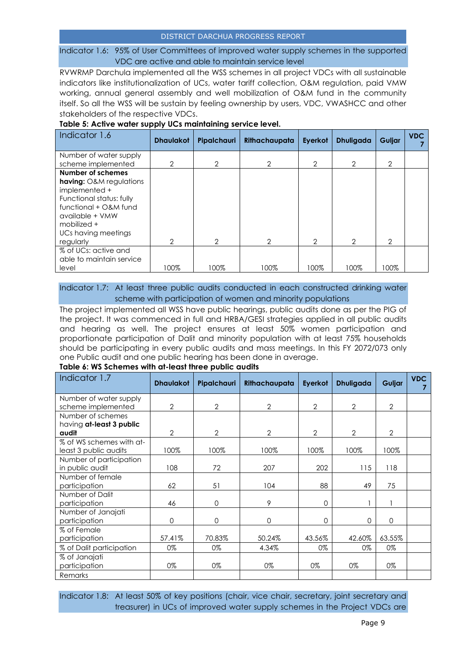#### Indicator 1.6: 95% of User Committees of improved water supply schemes in the supported VDC are active and able to maintain service level

RVWRMP Darchula implemented all the WSS schemes in all project VDCs with all sustainable indicators like institutionalization of UCs, water tariff collection, O&M regulation, paid VMW working, annual general assembly and well mobilization of O&M fund in the community itself. So all the WSS will be sustain by feeling ownership by users, VDC, VWASHCC and other stakeholders of the respective VDCs.

| Indicator 1.6                                                                                                                                                                                     | <b>Dhaulakot</b> | Pipalchauri    | Rithachaupata | Eyerkot        | <b>Dhuligada</b> | Guljar         | <b>VDC</b> |
|---------------------------------------------------------------------------------------------------------------------------------------------------------------------------------------------------|------------------|----------------|---------------|----------------|------------------|----------------|------------|
| Number of water supply<br>scheme implemented                                                                                                                                                      | 2                | 2              | 2             | $\overline{2}$ | $\overline{2}$   | $\overline{2}$ |            |
| Number of schemes<br><b>having:</b> O&M regulations<br>implemented +<br>Functional status: fully<br>functional + O&M fund<br>available + VMW<br>mobilized $+$<br>UCs having meetings<br>regularly | $\mathcal{P}$    | $\overline{2}$ | 2             | 2              | 2                | 2              |            |
| % of UCs: active and<br>able to maintain service<br>level                                                                                                                                         | 100%             | 100%           | 100%          | 100%           | 100%             | 100%           |            |

#### **Table 5: Active water supply UCs maintaining service level.**

Indicator 1.7: At least three public audits conducted in each constructed drinking water scheme with participation of women and minority populations

The project implemented all WSS have public hearings, public audits done as per the PIG of the project. It was commenced in full and HRBA/GESI strategies applied in all public audits and hearing as well. The project ensures at least 50% women participation and proportionate participation of Dalit and minority population with at least 75% households should be participating in every public audits and mass meetings. In this FY 2072/073 only one Public audit and one public hearing has been done in average.

#### **Table 6: WS Schemes with at-least three public audits**

| Indicator 1.7                                          | <b>Dhaulakot</b> | Pipalchauri    | Rithachaupata  | Eyerkot        | <b>Dhuligada</b> | Guljar         | <b>VDC</b> |
|--------------------------------------------------------|------------------|----------------|----------------|----------------|------------------|----------------|------------|
| Number of water supply<br>scheme implemented           | $\overline{2}$   | $\overline{2}$ | $\mathbf{2}$   | $\overline{2}$ | $\overline{2}$   | $\overline{2}$ |            |
| Number of schemes<br>having at-least 3 public<br>audit | $\mathcal{P}$    | $\mathcal{P}$  | $\overline{2}$ | $\overline{2}$ | $\mathcal{P}$    | $\overline{2}$ |            |
| % of WS schemes with at-<br>least 3 public audits      | 100%             | 100%           | 100%           | 100%           | 100%             | 100%           |            |
| Number of participation<br>in public audit             | 108              | 72             | 207            | 202            | 115              | 118            |            |
| Number of female<br>participation                      | 62               | 51             | 104            | 88             | 49               | 75             |            |
| Number of Dalit<br>participation                       | 46               | $\Omega$       | 9              | 0              |                  |                |            |
| Number of Janajati<br>participation                    | $\Omega$         | $\Omega$       | 0              | $\Omega$       | $\Omega$         | $\Omega$       |            |
| % of Female<br>participation                           | 57.41%           | 70.83%         | 50.24%         | 43.56%         | 42.60%           | 63.55%         |            |
| % of Dalit participation                               | 0%               | 0%             | 4.34%          | 0%             | 0%               | 0%             |            |
| % of Janajati<br>participation                         | 0%               | 0%             | 0%             | 0%             | 0%               | 0%             |            |
| Remarks                                                |                  |                |                |                |                  |                |            |

Indicator 1.8: At least 50% of key positions (chair, vice chair, secretary, joint secretary and treasurer) in UCs of improved water supply schemes in the Project VDCs are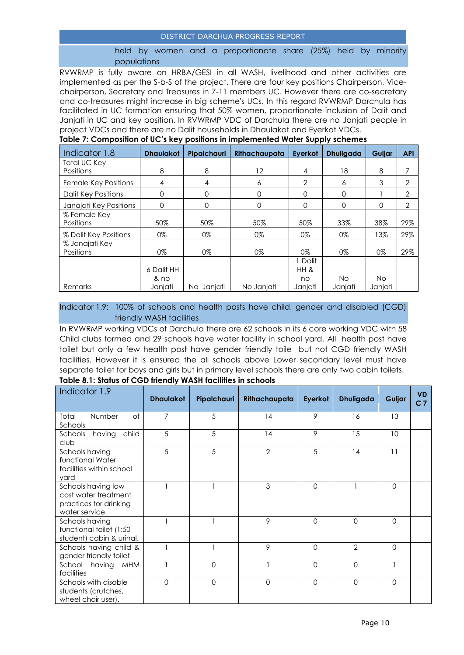#### held by women and a proportionate share (25%) held by minority populations

RVWRMP is fully aware on HRBA/GESI in all WASH, livelihood and other activities are implemented as per the S-b-S of the project. There are four key positions Chairperson, Vicechairperson, Secretary and Treasures in 7-11 members UC. However there are co-secretary and co-treasures might increase in big scheme's UCs. In this regard RVWRMP Darchula has facilitated in UC formation ensuring that 50% women, proportionate inclusion of Dalit and Janjati in UC and key position. In RVWRMP VDC of Darchula there are no Janjati people in project VDCs and there are no Dalit households in Dhaulakot and Eyerkot VDCs.

|                            |                  |             |               | - - - - 1      |                  |           |                |
|----------------------------|------------------|-------------|---------------|----------------|------------------|-----------|----------------|
| Indicator 1.8              | <b>Dhaulakot</b> | Pipalchauri | Rithachaupata | Eyerkot        | <b>Dhuligada</b> | Guljar    | <b>API</b>     |
| <b>Total UC Key</b>        |                  |             |               |                |                  |           |                |
| Positions                  | 8                | 8           | 12            | 4              | 18               | 8         |                |
| Female Key Positions       | 4                | 4           | 6             | $\overline{2}$ | 6                | 3         | 2              |
| <b>Dalit Key Positions</b> | O                | $\mathbf 0$ | $\Omega$      | 0              | $\Omega$         |           | 2              |
| Janajati Key Positions     | $\Omega$         | 0           | 0             | 0              | 0                | Ω         | $\overline{2}$ |
| % Female Key               |                  |             |               |                |                  |           |                |
| Positions                  | 50%              | 50%         | 50%           | 50%            | 33%              | 38%       | 29%            |
| % Dalit Key Positions      | 0%               | 0%          | 0%            | 0%             | 0%               | 13%       | 29%            |
| % Janajati Key             |                  |             |               |                |                  |           |                |
| Positions                  | 0%               | 0%          | 0%            | 0%             | 0%               | 0%        | 29%            |
|                            |                  |             |               | I Dalit        |                  |           |                |
|                            | 6 Dalit HH       |             |               | HH &           |                  |           |                |
|                            | & no             |             |               | no             | No.              | <b>No</b> |                |
| Remarks                    | Janjati          | No Janjati  | No Janjati    | Janjati        | Janjati          | Janjati   |                |

#### **Table 7: Composition of UC's key positions in implemented Water Supply schemes**

#### Indicator 1.9: 100% of schools and health posts have child, gender and disabled (CGD) friendly WASH facilities

In RVWRMP working VDCs of Darchula there are 62 schools in its 6 core working VDC with 58 Child clubs formed and 29 schools have water facility in school yard. All health post have toilet but only a few health post have gender friendly toile but not CGD friendly WASH facilities. However it is ensured the all schools above Lower secondary level must have separate toilet for boys and girls but in primary level schools there are only two cabin toilets.

| Indicator 1.9                                                                          | <b>Dhaulakot</b> | Pipalchauri | Rithachaupata  | Eyerkot  | <b>Dhuligada</b> | Guljar   | <b>VD</b><br>C <sub>7</sub> |
|----------------------------------------------------------------------------------------|------------------|-------------|----------------|----------|------------------|----------|-----------------------------|
| Total<br>Number<br>of<br>Schools                                                       | 7                | 5           | 14             | 9        | 16               | 13       |                             |
| having<br>child<br>Schools<br>club                                                     | 5                | 5           | 14             | 9        | 15               | 10       |                             |
| Schools having<br>functional Water<br>facilities within school<br>yard                 | 5                | 5           | $\overline{2}$ | 5        | 14               | 11       |                             |
| Schools having low<br>cost water treatment<br>practices for drinking<br>water service. |                  |             | 3              | $\Omega$ |                  | $\Omega$ |                             |
| Schools having<br>functional toilet (1:50<br>student) cabin & urinal.                  |                  |             | 9              | $\Omega$ | $\mathbf 0$      | $\Omega$ |                             |
| Schools having child &<br>gender friendly toilet                                       |                  |             | 9              | $\Omega$ | $\mathcal{P}$    | $\Omega$ |                             |
| School having<br><b>MHM</b><br>facilities                                              |                  | $\Omega$    |                | $\Omega$ | $\Omega$         |          |                             |
| Schools with disable<br>students (crutches,<br>wheel chair user).                      | $\Omega$         | $\Omega$    | 0              | $\Omega$ | $\Omega$         | $\Omega$ |                             |

**Table 8.1: Status of CGD friendly WASH facilities in schools**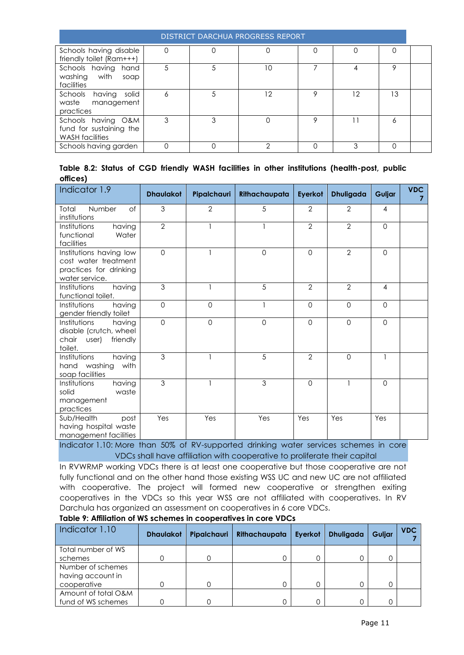|                                                                         | DISTRICT DARCHUA PROGRESS REPORT |   |    |   |    |    |  |  |  |  |  |  |
|-------------------------------------------------------------------------|----------------------------------|---|----|---|----|----|--|--|--|--|--|--|
| Schools having disable<br>friendly toilet (Ram+++)                      |                                  |   |    |   |    |    |  |  |  |  |  |  |
| Schools having hand<br>with<br>washing<br>soap<br>facilities            | 5                                |   | 10 |   | 4  | Q  |  |  |  |  |  |  |
| Schools<br>solid<br>having<br>waste<br>management<br>practices          | 6                                | 5 | 12 | O | 12 | 13 |  |  |  |  |  |  |
| Schools having O&M<br>fund for sustaining the<br><b>WASH</b> facilities | 3                                | 3 |    | Ω |    | Ô  |  |  |  |  |  |  |
| Schools having garden                                                   |                                  |   | ◠  |   | ર  |    |  |  |  |  |  |  |

|          |  |  |  |  |  | Table 8.2: Status of CGD friendly WASH facilities in other institutions (health-post, public |  |
|----------|--|--|--|--|--|----------------------------------------------------------------------------------------------|--|
| offices) |  |  |  |  |  |                                                                                              |  |

| Indicator 1.9                                                                               | <b>Dhaulakot</b> | Pipalchauri    | Rithachaupata | Eyerkot        | <b>Dhuligada</b> | Guljar         | <b>VDC</b> |
|---------------------------------------------------------------------------------------------|------------------|----------------|---------------|----------------|------------------|----------------|------------|
| Total<br>Number<br>of<br>institutions                                                       | 3                | $\overline{2}$ | 5             | $\overline{2}$ | $\overline{2}$   | $\overline{4}$ |            |
| Institutions<br>having<br>Water<br>functional<br>facilities                                 | $\overline{2}$   |                |               | $\overline{2}$ | $\overline{2}$   | $\Omega$       |            |
| Institutions having low<br>cost water treatment<br>practices for drinking<br>water service. | $\Omega$         |                | $\mathbf 0$   | $\Omega$       | $\overline{2}$   | $\mathbf 0$    |            |
| Institutions<br>having<br>functional toilet.                                                | 3                |                | 5             | $\overline{2}$ | $\overline{2}$   | 4              |            |
| having<br>Institutions<br>gender friendly toilet                                            | $\mathbf 0$      | $\mathbf 0$    |               | $\mathbf 0$    | $\Omega$         | $\mathbf 0$    |            |
| Institutions<br>having<br>disable (crutch, wheel<br>friendly<br>chair user)<br>toilet.      | $\mathbf{O}$     | $\Omega$       | $\mathbf 0$   | $\Omega$       | $\Omega$         | $\Omega$       |            |
| Institutions<br>having<br>hand washing<br>with<br>soap facilities                           | 3                |                | 5             | $\overline{2}$ | $\Omega$         |                |            |
| Institutions<br>having<br>solid<br>waste<br>management<br>practices                         | 3                |                | 3             | $\Omega$       |                  | $\mathbf 0$    |            |
| Sub/Health<br>post<br>having hospital waste<br>management facilities                        | Yes              | Yes            | Yes           | Yes            | Yes              | Yes            |            |

Indicator 1.10: More than 50% of RV-supported drinking water services schemes in core VDCs shall have affiliation with cooperative to proliferate their capital

In RVWRMP working VDCs there is at least one cooperative but those cooperative are not fully functional and on the other hand those existing WSS UC and new UC are not affiliated with cooperative. The project will formed new cooperative or strengthen exiting cooperatives in the VDCs so this year WSS are not affiliated with cooperatives. In RV Darchula has organized an assessment on cooperatives in 6 core VDCs.

| Indicator 1.10      | <b>Dhaulakot</b> | Pipalchauri | Rithachaupata | Eyerkot | <b>Dhuligada</b> | Guljar | <b>VDC</b> |
|---------------------|------------------|-------------|---------------|---------|------------------|--------|------------|
| Total number of WS  |                  |             |               |         |                  |        |            |
| schemes             |                  |             |               |         |                  |        |            |
| Number of schemes   |                  |             |               |         |                  |        |            |
| having account in   |                  |             |               |         |                  |        |            |
| cooperative         |                  |             |               |         |                  |        |            |
| Amount of total O&M |                  |             |               |         |                  |        |            |
| fund of WS schemes  |                  |             |               |         |                  |        |            |

**Table 9: Affiliation of WS schemes in cooperatives in core VDCs**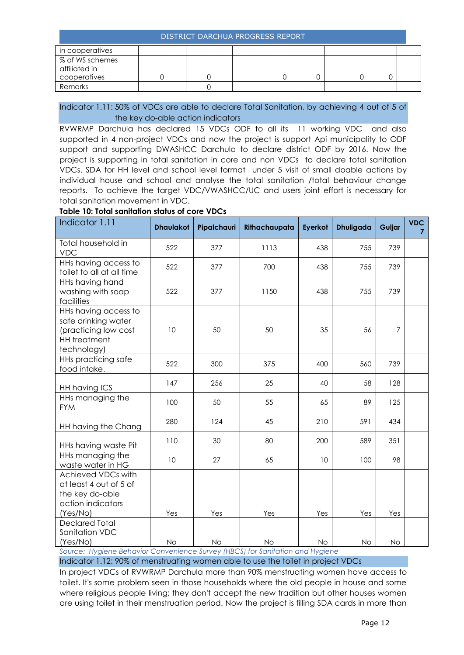| in cooperatives                                  |  |  |  |  |
|--------------------------------------------------|--|--|--|--|
| % of WS schemes<br>affiliated in<br>cooperatives |  |  |  |  |
| Remarks                                          |  |  |  |  |

#### Indicator 1.11: 50% of VDCs are able to declare Total Sanitation, by achieving 4 out of 5 of the key do-able action indicators

RVWRMP Darchula has declared 15 VDCs ODF to all its 11 working VDC and also supported in 4 non-project VDCs and now the project is support Api municipality to ODF support and supporting DWASHCC Darchula to declare district ODF by 2016. Now the project is supporting in total sanitation in core and non VDCs to declare total sanitation VDCs. SDA for HH level and school level format under 5 visit of small doable actions by individual house and school and analyse the total sanitation /total behaviour change reports. To achieve the target VDC/VWASHCC/UC and users joint effort is necessary for total sanitation movement in VDC.

#### **Table 10: Total sanitation status of core VDCs**

| Indicator 1.11                                                                                            | <b>Dhaulakot</b> | Pipalchauri            | Rithachaupata | Eyerkot   | <b>Dhuligada</b> | Guljar    | <b>VDC</b><br>$\overline{7}$ |
|-----------------------------------------------------------------------------------------------------------|------------------|------------------------|---------------|-----------|------------------|-----------|------------------------------|
| Total household in<br><b>VDC</b>                                                                          | 522              | 377                    | 1113          | 438       | 755              | 739       |                              |
| HHs having access to<br>toilet to all at all time                                                         | 522              | 377                    | 700           | 438       | 755              | 739       |                              |
| HHs having hand<br>washing with soap<br>facilities                                                        | 522              | 377                    | 1150          | 438       | 755              | 739       |                              |
| HHs having access to<br>safe drinking water<br>(practicing low cost<br><b>HH</b> treatment<br>technology) | 10               | 50                     | 50            | 35        | 56               | 7         |                              |
| <b>HHs practicing safe</b><br>food intake.                                                                | 522              | 300                    | 375           | 400       | 560              | 739       |                              |
| HH having ICS                                                                                             | 147              | 256                    | 25            | 40        | 58               | 128       |                              |
| HHs managing the<br><b>FYM</b>                                                                            | 100              | 50                     | 55            | 65        | 89               | 125       |                              |
| HH having the Chang                                                                                       | 280              | 124                    | 45            | 210       | 591              | 434       |                              |
| HHs having waste Pit                                                                                      | 110              | 30                     | 80            | 200       | 589              | 351       |                              |
| HHs managing the<br>waste water in HG                                                                     | 10               | 27                     | 65            | 10        | 100              | 98        |                              |
| Achieved VDCs with<br>at least 4 out of 5 of<br>the key do-able<br>action indicators<br>(Yes/No)          | Yes              | Yes                    | Yes           | Yes       | Yes              | Yes       |                              |
| <b>Declared Total</b><br>Sanitation VDC<br>(Yes/No)<br>$D = L$                                            | <b>No</b>        | <b>No</b><br>(1100015) | No            | <b>No</b> | No               | <b>No</b> |                              |

*Source: Hygiene Behavior Convenience Survey (HBCS) for Sanitation and Hygiene*

Indicator 1.12: 90% of menstruating women able to use the toilet in project VDCs

In project VDCs of RVWRMP Darchula more than 90% menstruating women have access to toilet. It's some problem seen in those households where the old people in house and some where religious people living; they don't accept the new tradition but other houses women are using toilet in their menstruation period. Now the project is filling SDA cards in more than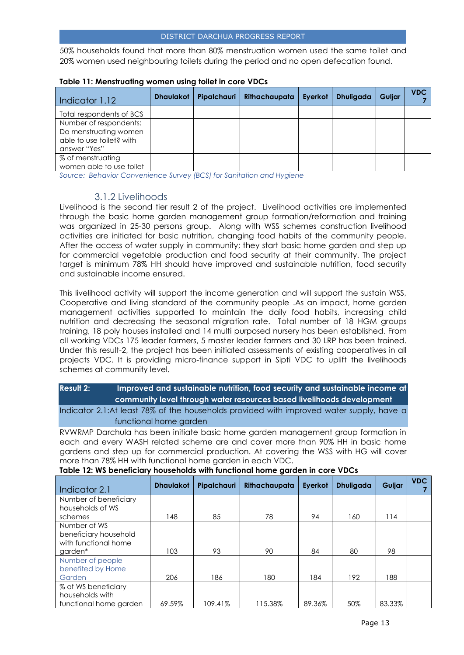50% households found that more than 80% menstruation women used the same toilet and 20% women used neighbouring toilets during the period and no open defecation found.

| Indicator 1.12           | <b>Dhaulakot</b> | Pipalchauri | Rithachaupata | Eyerkot | <b>Dhuligada</b> | Guljar | <b>VDC</b> |
|--------------------------|------------------|-------------|---------------|---------|------------------|--------|------------|
| Total respondents of BCS |                  |             |               |         |                  |        |            |
| Number of respondents:   |                  |             |               |         |                  |        |            |
| Do menstruating women    |                  |             |               |         |                  |        |            |
| able to use toilet? with |                  |             |               |         |                  |        |            |
| answer "Yes"             |                  |             |               |         |                  |        |            |
| % of menstruating        |                  |             |               |         |                  |        |            |
| women able to use toilet |                  |             |               |         |                  |        |            |

#### **Table 11: Menstruating women using toilet in core VDCs**

*Source: Behavior Convenience Survey (BCS) for Sanitation and Hygiene*

#### 3.1.2 Livelihoods

<span id="page-12-0"></span>Livelihood is the second tier result 2 of the project. Livelihood activities are implemented through the basic home garden management group formation/reformation and training was organized in 25-30 persons group. Along with WSS schemes construction livelihood activities are initiated for basic nutrition, changing food habits of the community people. After the access of water supply in community; they start basic home garden and step up for commercial vegetable production and food security at their community. The project target is minimum 78% HH should have improved and sustainable nutrition, food security and sustainable income ensured.

This livelihood activity will support the income generation and will support the sustain WSS, Cooperative and living standard of the community people .As an impact, home garden management activities supported to maintain the daily food habits, increasing child nutrition and decreasing the seasonal migration rate. Total number of 18 HGM groups training, 18 poly houses installed and 14 multi purposed nursery has been established. From all working VDCs 175 leader farmers, 5 master leader farmers and 30 LRP has been trained. Under this result-2, the project has been initiated assessments of existing cooperatives in all projects VDC. It is providing micro-finance support in Sipti VDC to uplift the livelihoods schemes at community level.

| Result 2: | Improved and sustainable nutrition, food security and sustainable income at     |
|-----------|---------------------------------------------------------------------------------|
|           | $\,$ community level through water resources based livelihoods development $\,$ |

Indicator 2.1:At least 78% of the households provided with improved water supply, have a functional home garden

RVWRMP Darchula has been initiate basic home garden management group formation in each and every WASH related scheme are and cover more than 90% HH in basic home gardens and step up for commercial production. At covering the WSS with HG will cover more than 78% HH with functional home garden in each VDC.

| Indicator 2.1                             | <b>Dhaulakot</b> | Pipalchauri | Rithachaupata | Eyerkot | <b>Dhuligada</b> | Guljar | <b>VDC</b> |
|-------------------------------------------|------------------|-------------|---------------|---------|------------------|--------|------------|
| Number of beneficiary<br>households of WS |                  |             |               |         |                  |        |            |
| schemes                                   | 148              | 85          | 78            | 94      | 160              | 114    |            |
| Number of WS                              |                  |             |               |         |                  |        |            |
| beneficiary household                     |                  |             |               |         |                  |        |            |
| with functional home<br>garden*           | 103.             | 93          | 90            | 84      | 80               | 98     |            |
| Number of people                          |                  |             |               |         |                  |        |            |
| benefited by Home                         |                  |             |               |         |                  |        |            |
| Garden                                    | 206              | 186         | 180           | 184     | 192              | 188    |            |
| % of WS beneficiary                       |                  |             |               |         |                  |        |            |
| households with                           |                  |             |               |         |                  |        |            |
| functional home garden                    | 69.59%           | 109.41%     | 115.38%       | 89.36%  | 50%              | 83.33% |            |

#### **Table 12: WS beneficiary households with functional home garden in core VDCs**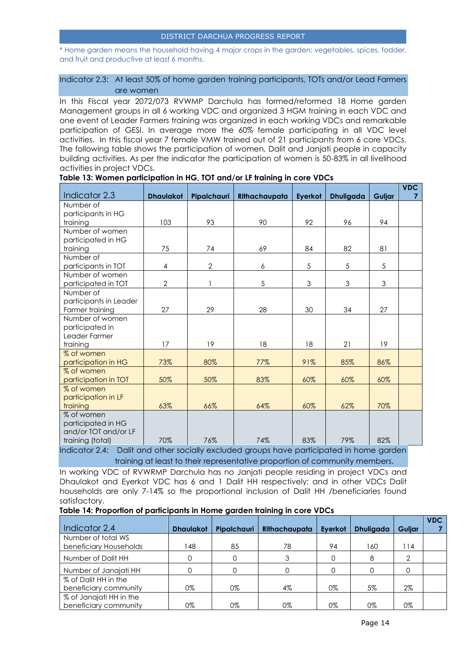\* Home garden means the household having 4 major crops in the garden: vegetables, spices, fodder, and fruit and productive at least 6 months.

#### Indicator 2.3: At least 50% of home garden training participants, TOTs and/or Lead Farmers are women

In this Fiscal year 2072/073 RVWMP Darchula has formed/reformed 18 Home garden Management groups in all 6 working VDC and organized 3 HGM training in each VDC and one event of Leader Farmers training was organized in each working VDCs and remarkable participation of GESI. In average more the 60% female participating in all VDC level activities. In this fiscal year 7 female VMW trained out of 21 participants from 6 core VDCs. The following table shows the participation of women, Dalit and Janjati people in capacity building activities. As per the indicator the participation of women is 50-83% in all livelihood activities in project VDCs.

| Indicator 2.3                                                   | <b>Dhaulakot</b>  | Pipalchauri      | Rithachaupata                | Eyerkot | <b>Dhuligada</b>               | Guljar         | <b>VDC</b> |
|-----------------------------------------------------------------|-------------------|------------------|------------------------------|---------|--------------------------------|----------------|------------|
| Number of                                                       |                   |                  |                              |         |                                |                |            |
| participants in HG                                              |                   |                  |                              |         |                                |                |            |
| training                                                        | 103               | 93               | 90                           | 92      | 96                             | 94             |            |
| Number of women                                                 |                   |                  |                              |         |                                |                |            |
| participated in HG                                              |                   |                  |                              |         |                                |                |            |
| training                                                        | 75                | 74               | 69                           | 84      | 82                             | 81             |            |
| Number of                                                       |                   |                  |                              |         |                                |                |            |
| participants in TOT                                             | 4                 | $\overline{2}$   | 6                            | 5       | 5                              | 5              |            |
| Number of women                                                 |                   |                  |                              |         |                                |                |            |
| participated in TOT                                             | $\overline{2}$    |                  | 5                            | 3       | 3                              | $\mathfrak{Z}$ |            |
| Number of                                                       |                   |                  |                              |         |                                |                |            |
| participants in Leader                                          |                   |                  |                              |         |                                |                |            |
| Farmer training                                                 | 27                | 29               | 28                           | 30      | 34                             | 27             |            |
| Number of women                                                 |                   |                  |                              |         |                                |                |            |
| participated in                                                 |                   |                  |                              |         |                                |                |            |
| Leader Farmer                                                   |                   |                  |                              |         |                                |                |            |
| training                                                        | 17                | 19               | 18                           | 18      | 21                             | 19             |            |
| % of women                                                      |                   |                  |                              |         |                                |                |            |
| participation in HG                                             | 73%               | 80%              | 77%                          | 91%     | 85%                            | 86%            |            |
| % of women                                                      |                   |                  |                              |         |                                |                |            |
| participation in TOT                                            | 50%               | 50%              | 83%                          | 60%     | 60%                            | 60%            |            |
| % of women                                                      |                   |                  |                              |         |                                |                |            |
| participation in LF                                             |                   |                  |                              |         |                                |                |            |
| training                                                        | 63%               | 66%              | 64%                          | 60%     | 62%                            | 70%            |            |
| % of women                                                      |                   |                  |                              |         |                                |                |            |
| participated in HG<br>and/or TOT and/or LF                      |                   |                  |                              |         |                                |                |            |
| training (total)                                                | 70%               | 76%              | 74%                          | 83%     | 79%                            | 82%            |            |
| $\mathbf{r}$ and $\mathbf{r}$ and $\mathbf{r}$ and $\mathbf{r}$ | <b>CONTRACTOR</b> | $\sim$ 100 $\pm$ | the company's company's com- |         | and the company of the company |                |            |

#### **Table 13: Women participation in HG, TOT and/or LF training in core VDCs**

Indicator 2.4: Dalit and other socially excluded groups have participated in home garden training at least to their representative proportion of community members.

In working VDC of RVWRMP Darchula has no Janjati people residing in project VDCs and Dhaulakot and Eyerkot VDC has 6 and 1 Dalit HH respectively; and in other VDCs Dalit households are only 7-14% so the proportional inclusion of Dalit HH /beneficiaries found satisfactory.

#### **Table 14: Proportion of participants in Home garden training in core VDCs**

| Indicator 2.4           | <b>Dhaulakot</b> | Pipalchauri | Rithachaupata | Eyerkot | <b>Dhuligada</b> | Guljar | <b>VDC</b> |
|-------------------------|------------------|-------------|---------------|---------|------------------|--------|------------|
| Number of total WS      |                  |             |               |         |                  |        |            |
| beneficiary Households  | 48               | 85          | 78            | 94      | 160              | 14     |            |
| Number of Dalit HH      |                  |             |               |         | 8                | ⌒      |            |
| Number of Janajati HH   |                  |             |               |         |                  |        |            |
| % of Dalit HH in the    |                  |             |               |         |                  |        |            |
| beneficiary community   | 0%               | 0%          | $4\%$         | 0%      | 5%               | $2\%$  |            |
| % of Janajati HH in the |                  |             |               |         |                  |        |            |
| beneficiary community   | 0%               | 0%          | 0%            | 0%      | 0%               | 0%     |            |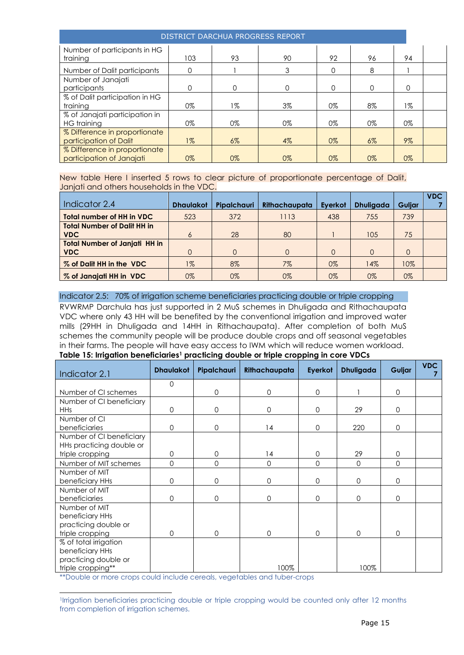| DISTRICT DARCHUA PROGRESS REPORT                           |          |       |          |          |       |       |  |
|------------------------------------------------------------|----------|-------|----------|----------|-------|-------|--|
| Number of participants in HG<br>training                   | 103      | 93    | 90       | 92       | 96    | 94    |  |
| Number of Dalit participants                               | $\Omega$ |       | 3        | 0        | 8     |       |  |
| Number of Janajati<br>participants                         | $\Omega$ | 0     | $\Omega$ | $\Omega$ | 0     | 0     |  |
| % of Dalit participation in HG<br>training                 | $0\%$    | 1%    | $3\%$    | $0\%$    | 8%    | 1%    |  |
| % of Janajati participation in<br>HG training              | $0\%$    | $0\%$ | $0\%$    | $0\%$    | 0%    | 0%    |  |
| % Difference in proportionate<br>participation of Dalit    | $1\%$    | $6\%$ | $4\%$    | $0\%$    | $6\%$ | $9\%$ |  |
| % Difference in proportionate<br>participation of Janajati | $0\%$    | $0\%$ | $0\%$    | 0%       | $0\%$ | $0\%$ |  |

New table Here I inserted 5 rows to clear picture of proportionate percentage of Dalit, Janjati and others households in the VDC.

| Indicator 2.4                                      | <b>Dhaulakot</b> | Pipalchauri | Rithachaupata | Everkot | <b>Dhuligada</b> | <b>Guliar</b> | <b>VDC</b> |
|----------------------------------------------------|------------------|-------------|---------------|---------|------------------|---------------|------------|
| <b>Total number of HH in VDC</b>                   | 523              | 372         | 1113          | 438     | 755              | 739           |            |
| <b>Total Number of Dalit HH in</b><br><b>VDC</b>   | 6                | 28          | 80            |         | 105              | 75            |            |
| <b>Total Number of Janjati HH in</b><br><b>VDC</b> |                  | $\cap$      | $\Omega$      |         | 0                | $\Omega$      |            |
| % of Dalit HH in the VDC                           | $1\%$            | 8%          | $7\%$         | $0\%$   | 14%              | 10%           |            |
| % of Janajati HH in VDC                            | 0%               | $0\%$       | $0\%$         | 0%      | $0\%$            | $0\%$         |            |

#### Indicator 2.5: 70% of irrigation scheme beneficiaries practicing double or triple cropping

RVWRMP Darchula has just supported in 2 MuS schemes in Dhuligada and Rithachaupata VDC where only 43 HH will be benefited by the conventional irrigation and improved water mills (29HH in Dhuligada and 14HH in Rithachaupata). After completion of both MuS schemes the community people will be produce double crops and off seasonal vegetables in their farms. The people will have easy access to IWM which will reduce women workload.

### **Table 15: Irrigation beneficiaries<sup>1</sup> practicing double or triple cropping in core VDCs**

| Indicator 2.1            | <b>Dhaulakot</b> | Pipalchauri  | Rithachaupata | Eyerkot     | <b>Dhuligada</b> | Guljar      | <b>VDC</b> |
|--------------------------|------------------|--------------|---------------|-------------|------------------|-------------|------------|
|                          | $\mathbf 0$      |              |               |             |                  |             |            |
| Number of CI schemes     |                  | $\Omega$     | $\mathbf 0$   | $\Omega$    |                  | $\Omega$    |            |
| Number of CI beneficiary |                  |              |               |             |                  |             |            |
| <b>HHs</b>               | $\mathbf 0$      | $\mathbf{O}$ | $\mathbf 0$   | $\mathbf 0$ | 29               | $\Omega$    |            |
| Number of CI             |                  |              |               |             |                  |             |            |
| beneficiaries            | $\overline{0}$   | $\Omega$     | 14            | $\mathbf 0$ | 220              | $\Omega$    |            |
| Number of CI beneficiary |                  |              |               |             |                  |             |            |
| HHs practicing double or |                  |              |               |             |                  |             |            |
| triple cropping          | 0                | $\mathbf{O}$ | 14            | $\mathbf 0$ | 29               | $\mathbf 0$ |            |
| Number of MIT schemes    | 0                | 0            | $\mathbf 0$   | $\mathbf 0$ | $\mathbf 0$      | $\mathbf 0$ |            |
| Number of MIT            |                  |              |               |             |                  |             |            |
| beneficiary HHs          | 0                | $\mathbf{O}$ | $\mathbf 0$   | $\mathbf 0$ | $\mathbf 0$      | $\mathbf 0$ |            |
| Number of MIT            |                  |              |               |             |                  |             |            |
| beneficiaries            | 0                | $\Omega$     | $\Omega$      | $\mathbf 0$ | $\mathbf 0$      | $\Omega$    |            |
| Number of MIT            |                  |              |               |             |                  |             |            |
| beneficiary HHs          |                  |              |               |             |                  |             |            |
| practicing double or     |                  |              |               |             |                  |             |            |
| triple cropping          | $\Omega$         | $\Omega$     | $\Omega$      | $\Omega$    | $\Omega$         | $\Omega$    |            |
| % of total irrigation    |                  |              |               |             |                  |             |            |
| beneficiary HHs          |                  |              |               |             |                  |             |            |
| practicing double or     |                  |              |               |             |                  |             |            |
| triple cropping**        |                  |              | 100%          |             | 100%             |             |            |

\*\*Double or more crops could include cereals, vegetables and tuber-crops

l

<sup>1</sup> Irrigation beneficiaries practicing double or triple cropping would be counted only after 12 months from completion of irrigation schemes.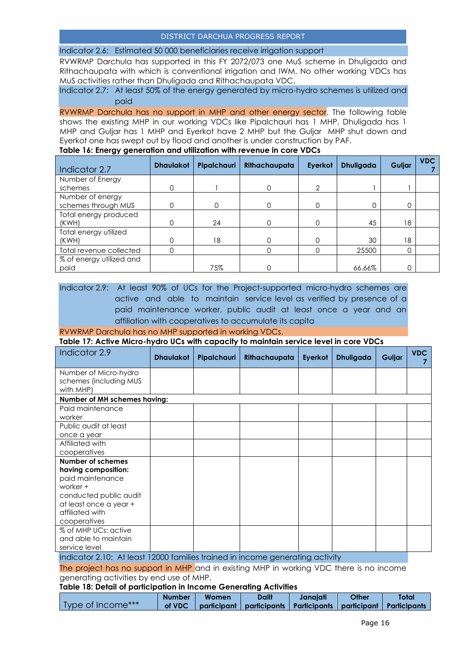Indicator 2.6: Estimated 50 000 beneficiaries receive irrigation support

RVWRMP Darchula has supported in this FY 2072/073 one MuS scheme in Dhuligada and Rithachaupata with which is conventional irrigation and IWM. No other working VDCs has MuS activities rather than Dhuligada and Rithachaupata VDC.

Indicator 2.7: At least 50% of the energy generated by micro-hydro schemes is utilized and paid

RVWRMP Darchula has no support in MHP and other energy sector. The following table shows the existing MHP in our working VDCs like Pipalchauri has 1 MHP, Dhuligada has 1 MHP and Guljar has 1 MHP and Eyerkot have 2 MHP but the Guljar MHP shut down and Eyerkot one has swept out by flood and another is under construction by PAF.

**Table 16: Energy generation and utilization with revenue in core VDCs**

| Indicator 2.7            | <b>Dhaulakot</b> | Pipalchauri | Rithachaupata | Eyerkot       | <b>Dhuligada</b> | Guljar | <b>VDC</b> |
|--------------------------|------------------|-------------|---------------|---------------|------------------|--------|------------|
| Number of Energy         |                  |             |               |               |                  |        |            |
| schemes                  | 0                |             |               | $\mathcal{P}$ |                  |        |            |
| Number of energy         |                  |             |               |               |                  |        |            |
| schemes through MUS      |                  |             |               | $\Omega$      |                  | 0      |            |
| Total energy produced    |                  |             |               |               |                  |        |            |
| (KWH)                    |                  | 24          |               |               | 45               | 18     |            |
| Total energy utilized    |                  |             |               |               |                  |        |            |
| (KWH)                    |                  | 18          |               |               | 30               | 18     |            |
| Total revenue collected  |                  |             |               |               | 25500            |        |            |
| % of energy utilized and |                  |             |               |               |                  |        |            |
| paid                     |                  | 75%         |               |               | 66.66%           |        |            |

Indicator 2.9: At least 90% of UCs for the Project-supported micro-hydro schemes are active and able to maintain service level as verified by presence of a paid maintenance worker, public audit at least once a year and an affiliation with cooperatives to accumulate its capita

RVWRMP Darchula has no MHP supported in working VDCs.

**Table 17: Active Micro-hydro UCs with capacity to maintain service level in core VDCs**

| Indicator 2.9                                                                                                                                                          | <b>Dhaulakot</b> | Pipalchauri                                 | Rithachaupata | Eyerkot                     | <b>Dhuligada</b> | Guljar | <b>VDC</b> |
|------------------------------------------------------------------------------------------------------------------------------------------------------------------------|------------------|---------------------------------------------|---------------|-----------------------------|------------------|--------|------------|
| Number of Micro-hydro<br>schemes (including MUS<br>with MHP)                                                                                                           |                  |                                             |               |                             |                  |        |            |
| Number of MH schemes having:                                                                                                                                           |                  |                                             |               |                             |                  |        |            |
| Paid maintenance<br>worker                                                                                                                                             |                  |                                             |               |                             |                  |        |            |
| Public audit at least<br>once a year                                                                                                                                   |                  |                                             |               |                             |                  |        |            |
| Affiliated with<br>cooperatives                                                                                                                                        |                  |                                             |               |                             |                  |        |            |
| <b>Number of schemes</b><br>having composition:<br>paid maintenance<br>worker +<br>conducted public audit<br>at least once a year +<br>affiliated with<br>cooperatives |                  |                                             |               |                             |                  |        |            |
| % of MHP UCs: active<br>and able to maintain<br>service level                                                                                                          | $\cdots$         | the contract of the contract of<br>$\cdots$ |               | $\cdot$ $\cdot$<br>$\cdots$ |                  |        |            |

Indicator 2.10: At least 12000 families trained in income generating activity

The project has no support in MHP and in existing MHP in working VDC there is no income generating activities by end use of MHP.

**Table 18: Detail of participation in Income Generating Activities**

|                   | <b>Number</b> | <b>Women</b> | <b>Dalit</b>                                            | Janaiati | Other | Total               |
|-------------------|---------------|--------------|---------------------------------------------------------|----------|-------|---------------------|
| Type of Income*** | of VDC        |              | participant   participants   Participants   participant |          |       | <b>Participants</b> |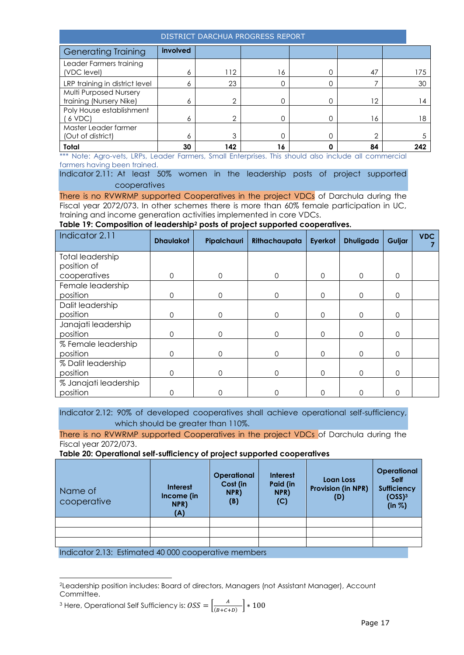| DISTRICT DARCHUA PROGRESS REPORT                  |          |     |    |   |    |  |     |
|---------------------------------------------------|----------|-----|----|---|----|--|-----|
| <b>Generating Training</b>                        | involved |     |    |   |    |  |     |
| Leader Farmers training<br>(VDC level)            | 6        | 112 | 16 |   | 47 |  | 175 |
| LRP training in district level                    | 6        | 23  |    |   |    |  | 30  |
| Multi Purposed Nursery<br>training (Nursery Nike) | 6        | ⌒   |    | 0 | 12 |  | l 4 |
| Poly House establishment<br>6 VDC                 | 6        | ⌒   |    |   | 16 |  | 18  |
| Master Leader farmer<br>(Out of district)         | 6        | 3   |    |   | ⌒  |  |     |
| Total                                             | 30       | 142 | 16 |   | 84 |  | 242 |

\*\*\* Note: Agro-vets, LRPs, Leader Farmers, Small Enterprises. This should also include all commercial farmers having been trained.

Indicator 2.11: At least 50% women in the leadership posts of project supported cooperatives

There is no RVWRMP supported Cooperatives in the project VDCs of Darchula during the Fiscal year 2072/073. In other schemes there is more than 60% female participation in UC, training and income generation activities implemented in core VDCs.

#### **Table 19: Composition of leadership<sup>2</sup> posts of project supported cooperatives.**

| Indicator 2.11          | <b>Dhaulakot</b> | <b>Pipalchauri</b> | Rithachaupata | Eyerkot  | <b>Dhuligada</b> | Guljar      | <b>VDC</b> |
|-------------------------|------------------|--------------------|---------------|----------|------------------|-------------|------------|
| <b>Total leadership</b> |                  |                    |               |          |                  |             |            |
| position of             |                  |                    |               |          |                  |             |            |
| cooperatives            | $\mathbf 0$      | $\Omega$           | $\Omega$      | $\Omega$ | $\Omega$         | $\Omega$    |            |
| Female leadership       |                  |                    |               |          |                  |             |            |
| position                | 0                | ი                  | $\Omega$      | 0        | $\Omega$         | $\Omega$    |            |
| Dalit leadership        |                  |                    |               |          |                  |             |            |
| position                | 0                | ი                  | 0             | 0        | $\Omega$         | $\mathbf 0$ |            |
| Janajati leadership     |                  |                    |               |          |                  |             |            |
| position                | $\mathbf{O}$     | 0                  | $\Omega$      | 0        | $\Omega$         | $\Omega$    |            |
| % Female leadership     |                  |                    |               |          |                  |             |            |
| position                | 0                |                    | $\Omega$      | Ω        | $\Omega$         | $\Omega$    |            |
| % Dalit leadership      |                  |                    |               |          |                  |             |            |
| position                | 0                | 0                  | 0             | 0        | $\Omega$         | $\mathbf 0$ |            |
| % Janajati leadership   |                  |                    |               |          |                  |             |            |
| position                | 0                | ი                  | Ω             | ი        |                  | 0           |            |

Indicator 2.12: 90% of developed cooperatives shall achieve operational self-sufficiency, which should be greater than 110%.

There is no RVWRMP supported Cooperatives in the project VDCs of Darchula during the Fiscal year 2072/073.

**Table 20: Operational self-sufficiency of project supported cooperatives**

| Loan Loss<br><b>Provision (in NPR)</b><br>(D) | <b>Operational</b><br><b>Self</b><br><b>Sufficiency</b><br>(OSS) <sup>3</sup><br>(in %) |
|-----------------------------------------------|-----------------------------------------------------------------------------------------|
|                                               |                                                                                         |
|                                               |                                                                                         |
|                                               |                                                                                         |
|                                               |                                                                                         |

Indicator 2.13: Estimated 40 000 cooperative members

l

<sup>3</sup> Here, Operational Self Sufficiency is:  $\hat{OSS} = \frac{A}{\sqrt{3\pi}}$  $\frac{A}{(B+C+D)}$  \* 100

<sup>2</sup>Leadership position includes: Board of directors, Managers (not Assistant Manager), Account Committee.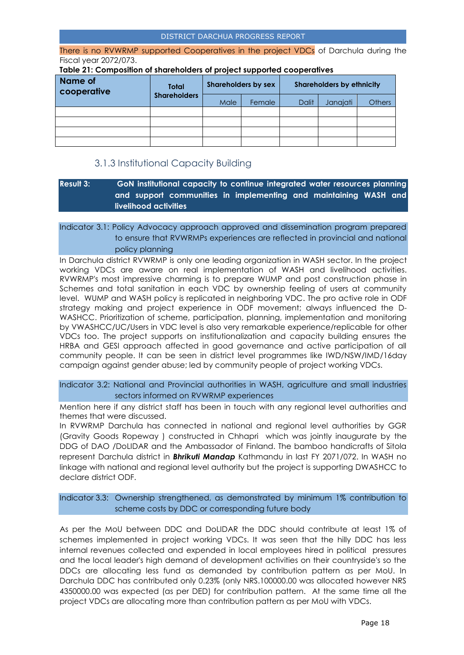There is no RVWRMP supported Cooperatives in the project VDCs of Darchula during the Fiscal year 2072/073.

**Table 21: Composition of shareholders of project supported cooperatives**

| <b>Name of</b><br>cooperative | <b>Total</b>        | <b>Shareholders by sex</b> |        | <b>Shareholders by ethnicity</b> |          |               |
|-------------------------------|---------------------|----------------------------|--------|----------------------------------|----------|---------------|
|                               | <b>Shareholders</b> | Male                       | Female | Dalit                            | Janajati | <b>Others</b> |
|                               |                     |                            |        |                                  |          |               |
|                               |                     |                            |        |                                  |          |               |
|                               |                     |                            |        |                                  |          |               |
|                               |                     |                            |        |                                  |          |               |

### 3.1.3 Institutional Capacity Building

### <span id="page-17-0"></span>**Result 3: GoN institutional capacity to continue integrated water resources planning and support communities in implementing and maintaining WASH and livelihood activities**

#### Indicator 3.1: Policy Advocacy approach approved and dissemination program prepared to ensure that RVWRMPs experiences are reflected in provincial and national policy planning

In Darchula district RVWRMP is only one leading organization in WASH sector. In the project working VDCs are aware on real implementation of WASH and livelihood activities. RVWRMP's most impressive charming is to prepare WUMP and post construction phase in Schemes and total sanitation in each VDC by ownership feeling of users at community level. WUMP and WASH policy is replicated in neighboring VDC. The pro active role in ODF strategy making and project experience in ODF movement; always influenced the D-WASHCC. Prioritization of scheme, participation, planning, implementation and monitoring by VWASHCC/UC/Users in VDC level is also very remarkable experience/replicable for other VDCs too. The project supports on institutionalization and capacity building ensures the HRBA and GESI approach affected in good governance and active participation of all community people. It can be seen in district level programmes like IWD/NSW/IMD/16day campaign against gender abuse; led by community people of project working VDCs.

Indicator 3.2: National and Provincial authorities in WASH, agriculture and small industries sectors informed on RVWRMP experiences

Mention here if any district staff has been in touch with any regional level authorities and themes that were discussed.

In RVWRMP Darchula has connected in national and regional level authorities by GGR (Gravity Goods Ropeway ) constructed in Chhapri which was jointly inaugurate by the DDG of DAO /DoLIDAR and the Ambassador of Finland. The bamboo handicrafts of Sitola represent Darchula district in *Bhrikuti Mandap* Kathmandu in last FY 2071/072. In WASH no linkage with national and regional level authority but the project is supporting DWASHCC to declare district ODF.

Indicator 3.3: Ownership strengthened, as demonstrated by minimum 1% contribution to scheme costs by DDC or corresponding future body

As per the MoU between DDC and DoLIDAR the DDC should contribute at least 1% of schemes implemented in project working VDCs. It was seen that the hilly DDC has less internal revenues collected and expended in local employees hired in political pressures and the local leader's high demand of development activities on their countryside's so the DDCs are allocating less fund as demanded by contribution pattern as per MoU. In Darchula DDC has contributed only 0.23% (only NRS.100000.00 was allocated however NRS 4350000.00 was expected (as per DED) for contribution pattern. At the same time all the project VDCs are allocating more than contribution pattern as per MoU with VDCs.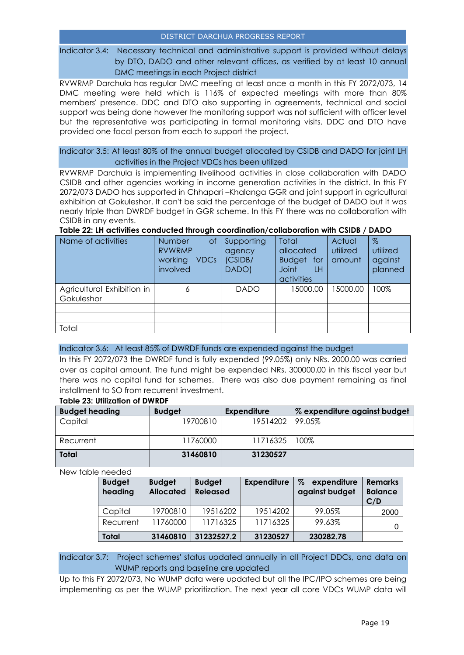Indicator 3.4: Necessary technical and administrative support is provided without delays by DTO, DADO and other relevant offices, as verified by at least 10 annual DMC meetings in each Project district

RVWRMP Darchula has regular DMC meeting at least once a month in this FY 2072/073, 14 DMC meeting were held which is 116% of expected meetings with more than 80% members' presence. DDC and DTO also supporting in agreements, technical and social support was being done however the monitoring support was not sufficient with officer level but the representative was participating in formal monitoring visits. DDC and DTO have provided one focal person from each to support the project.

Indicator 3.5: At least 80% of the annual budget allocated by CSIDB and DADO for joint LH activities in the Project VDCs has been utilized

RVWRMP Darchula is implementing livelihood activities in close collaboration with DADO CSIDB and other agencies working in income generation activities in the district. In this FY 2072/073 DADO has supported in Chhapari –Khalanga GGR and joint support in agricultural exhibition at Gokuleshor. It can't be said the percentage of the budget of DADO but it was nearly triple than DWRDF budget in GGR scheme. In this FY there was no collaboration with CSIDB in any events.

**Table 22: LH activities conducted through coordination/collaboration with CSIDB / DADO**

| Name of activities                       | Number<br>Οf<br><b>RVWRMP</b><br>working<br><b>VDCs</b><br>involved | Supporting<br>agency<br>(CSIDB/<br>DADO) | <b>Total</b><br>allocated<br>Budget for<br><b>Joint</b><br>LH<br>activities | Actual<br>utilized<br>amount | $\%$<br>utilized<br>against<br>planned |
|------------------------------------------|---------------------------------------------------------------------|------------------------------------------|-----------------------------------------------------------------------------|------------------------------|----------------------------------------|
| Agricultural Exhibition in<br>Gokuleshor |                                                                     | <b>DADO</b>                              | 15000.00                                                                    | 15000.00                     | 100%                                   |
|                                          |                                                                     |                                          |                                                                             |                              |                                        |
|                                          |                                                                     |                                          |                                                                             |                              |                                        |
| Total                                    |                                                                     |                                          |                                                                             |                              |                                        |

Indicator 3.6: At least 85% of DWRDF funds are expended against the budget

In this FY 2072/073 the DWRDF fund is fully expended (99.05%) only NRs. 2000.00 was carried over as capital amount. The fund might be expended NRs. 300000.00 in this fiscal year but there was no capital fund for schemes. There was also due payment remaining as final installment to SO from recurrent investment.

#### **Table 23: Utilization of DWRDF**

| <b>Budget heading</b> | <b>Budget</b> | <b>Expenditure</b> | % expenditure against budget |
|-----------------------|---------------|--------------------|------------------------------|
| Capital               | 19700810      | 19514202           | 99.05%                       |
|                       |               |                    |                              |
| Recurrent             | 11760000      | 11716325           | 100%                         |
| <b>Total</b>          | 31460810      | 31230527           |                              |

New table needed

| <b>Budget</b><br>heading | <b>Budget</b><br><b>Allocated</b> | <b>Budget</b><br><b>Released</b> | <b>Expenditure</b> | $\%$<br>expenditure<br>against budget | <b>Remarks</b><br><b>Balance</b><br>C/D |
|--------------------------|-----------------------------------|----------------------------------|--------------------|---------------------------------------|-----------------------------------------|
| Capital                  | 19700810                          | 19516202                         | 19514202           | 99.05%                                | 2000                                    |
| Recurrent                | 11760000                          | 11716325                         | 11716325           | 99.63%                                |                                         |
| <b>Total</b>             | 31460810                          | 31232527.2                       | 31230527           | 230282.78                             |                                         |

Indicator 3.7: Project schemes' status updated annually in all Project DDCs, and data on WUMP reports and baseline are updated

Up to this FY 2072/073, No WUMP data were updated but all the IPC/IPO schemes are being implementing as per the WUMP prioritization. The next year all core VDCs WUMP data will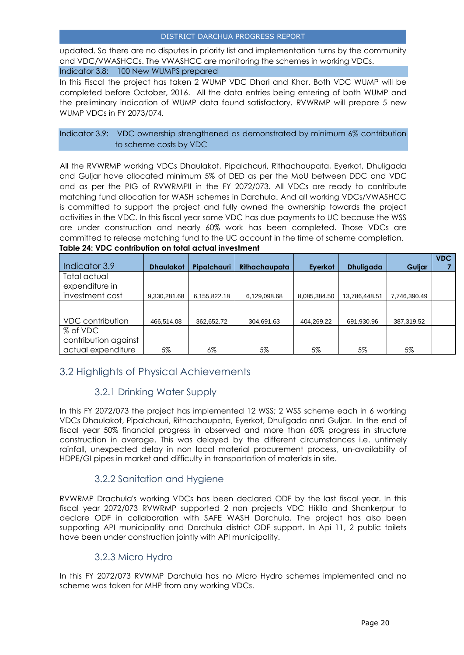updated. So there are no disputes in priority list and implementation turns by the community and VDC/VWASHCCs. The VWASHCC are monitoring the schemes in working VDCs. Indicator 3.8: 100 New WUMPS prepared

In this Fiscal the project has taken 2 WUMP VDC Dhari and Khar. Both VDC WUMP will be completed before October, 2016. All the data entries being entering of both WUMP and the preliminary indication of WUMP data found satisfactory. RVWRMP will prepare 5 new WUMP VDCs in FY 2073/074.

#### Indicator 3.9: VDC ownership strengthened as demonstrated by minimum 6% contribution to scheme costs by VDC

All the RVWRMP working VDCs Dhaulakot, Pipalchauri, Rithachaupata, Eyerkot, Dhuligada and Guljar have allocated minimum 5% of DED as per the MoU between DDC and VDC and as per the PIG of RVWRMPII in the FY 2072/073. All VDCs are ready to contribute matching fund allocation for WASH schemes in Darchula. And all working VDCs/VWASHCC is committed to support the project and fully owned the ownership towards the project activities in the VDC. In this fiscal year some VDC has due payments to UC because the WSS are under construction and nearly 60% work has been completed. Those VDCs are committed to release matching fund to the UC account in the time of scheme completion. **Table 24: VDC contribution on total actual investment**

|                      |                  |              |               |              |                  |              | <b>VDC</b> |
|----------------------|------------------|--------------|---------------|--------------|------------------|--------------|------------|
| Indicator 3.9        | <b>Dhaulakot</b> | Pipalchauri  | Rithachaupata | Eyerkot      | <b>Dhuligada</b> | Guljar       |            |
| Total actual         |                  |              |               |              |                  |              |            |
| expenditure in       |                  |              |               |              |                  |              |            |
| investment cost      | 9,330,281.68     | 6,155,822.18 | 6,129,098.68  | 8,085,384.50 | 13,786,448.51    | 7,746,390.49 |            |
|                      |                  |              |               |              |                  |              |            |
|                      |                  |              |               |              |                  |              |            |
| VDC contribution     | 466,514.08       | 362,652.72   | 304,691.63    | 404,269.22   | 691,930.96       | 387,319.52   |            |
| % of VDC             |                  |              |               |              |                  |              |            |
| contribution against |                  |              |               |              |                  |              |            |
| actual expenditure   | 5%               | 6%           | 5%            | 5%           | 5%               | 5%           |            |

### <span id="page-19-0"></span>3.2 Highlights of Physical Achievements

### 3.2.1 Drinking Water Supply

<span id="page-19-1"></span>In this FY 2072/073 the project has implemented 12 WSS; 2 WSS scheme each in 6 working VDCs Dhaulakot, Pipalchauri, Rithachaupata, Eyerkot, Dhuligada and Guljar. In the end of fiscal year 50% financial progress in observed and more than 60% progress in structure construction in average. This was delayed by the different circumstances i.e. untimely rainfall, unexpected delay in non local material procurement process, un-availability of HDPE/GI pipes in market and difficulty in transportation of materials in site.

### 3.2.2 Sanitation and Hygiene

<span id="page-19-2"></span>RVWRMP Drachula's working VDCs has been declared ODF by the last fiscal year. In this fiscal year 2072/073 RVWRMP supported 2 non projects VDC Hikila and Shankerpur to declare ODF in collaboration with SAFE WASH Darchula. The project has also been supporting API municipality and Darchula district ODF support. In Api 11, 2 public toilets have been under construction jointly with API municipality.

### 3.2.3 Micro Hydro

<span id="page-19-3"></span>In this FY 2072/073 RVWMP Darchula has no Micro Hydro schemes implemented and no scheme was taken for MHP from any working VDCs.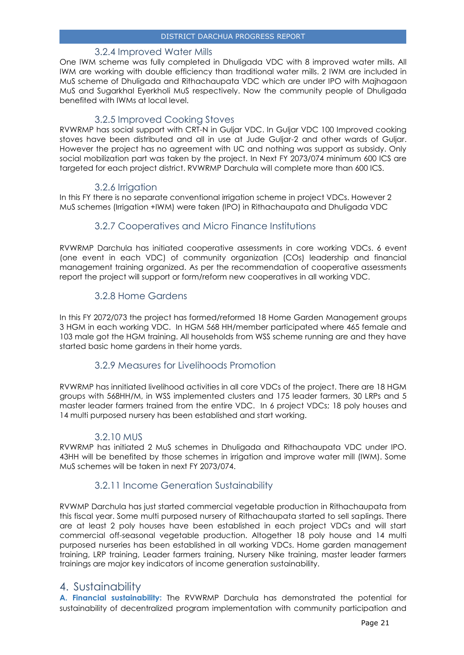#### 3.2.4 Improved Water Mills

<span id="page-20-0"></span>One IWM scheme was fully completed in Dhuligada VDC with 8 improved water mills. All IWM are working with double efficiency than traditional water mills. 2 IWM are included in MuS scheme of Dhuligada and Rithachaupata VDC which are under IPO with Majhagaon MuS and Sugarkhal Eyerkholi MuS respectively. Now the community people of Dhuligada benefited with IWMs at local level.

### 3.2.5 Improved Cooking Stoves

<span id="page-20-1"></span>RVWRMP has social support with CRT-N in Guljar VDC. In Guljar VDC 100 Improved cooking stoves have been distributed and all in use at Jude Guljar-2 and other wards of Guljar. However the project has no agreement with UC and nothing was support as subsidy. Only social mobilization part was taken by the project. In Next FY 2073/074 minimum 600 ICS are targeted for each project district. RVWRMP Darchula will complete more than 600 ICS.

#### 3.2.6 Irrigation

<span id="page-20-2"></span>In this FY there is no separate conventional irrigation scheme in project VDCs. However 2 MuS schemes (Irrigation +IWM) were taken (IPO) in Rithachaupata and Dhuligada VDC

### 3.2.7 Cooperatives and Micro Finance Institutions

<span id="page-20-3"></span>RVWRMP Darchula has initiated cooperative assessments in core working VDCs. 6 event (one event in each VDC) of community organization (COs) leadership and financial management training organized. As per the recommendation of cooperative assessments report the project will support or form/reform new cooperatives in all working VDC.

### 3.2.8 Home Gardens

<span id="page-20-4"></span>In this FY 2072/073 the project has formed/reformed 18 Home Garden Management groups 3 HGM in each working VDC. In HGM 568 HH/member participated where 465 female and 103 male got the HGM training. All households from WSS scheme running are and they have started basic home gardens in their home yards.

#### 3.2.9 Measures for Livelihoods Promotion

<span id="page-20-5"></span>RVWRMP has innitiated livelihood activities in all core VDCs of the project. There are 18 HGM groups with 568HH/M, in WSS implemented clusters and 175 leader farmers, 30 LRPs and 5 master leader farmers trained from the entire VDC. In 6 project VDCs; 18 poly houses and 14 multi purposed nursery has been established and start working.

#### 3.2.10 MUS

<span id="page-20-6"></span>RVWRMP has initiated 2 MuS schemes in Dhuligada and Rithachaupata VDC under IPO. 43HH will be benefited by those schemes in irrigation and improve water mill (IWM). Some MuS schemes will be taken in next FY 2073/074.

### 3.2.11 Income Generation Sustainability

<span id="page-20-7"></span>RVWMP Darchula has just started commercial vegetable production in Rithachaupata from this fiscal year. Some multi purposed nursery of Rithachaupata started to sell saplings. There are at least 2 poly houses have been established in each project VDCs and will start commercial off-seasonal vegetable production. Altogether 18 poly house and 14 multi purposed nurseries has been established in all working VDCs. Home garden management training, LRP training, Leader farmers training, Nursery Nike training, master leader farmers trainings are major key indicators of income generation sustainability.

### <span id="page-20-8"></span>4. Sustainability

**A. Financial sustainability:** The RVWRMP Darchula has demonstrated the potential for sustainability of decentralized program implementation with community participation and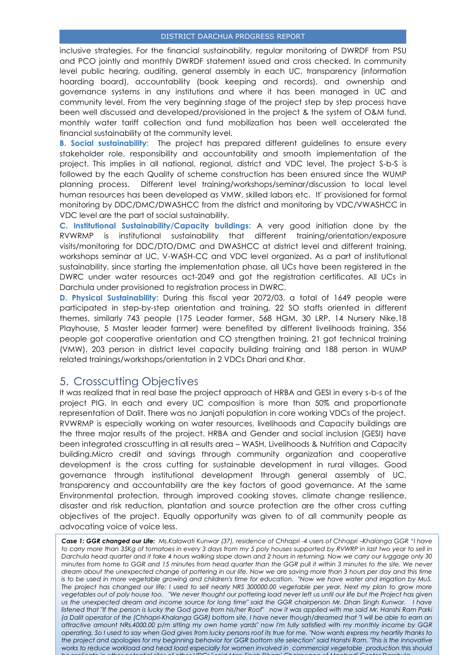inclusive strategies. For the financial sustainability, regular monitoring of DWRDF from PSU and PCO jointly and monthly DWRDF statement issued and cross checked. In community level public hearing, auditing, general assembly in each UC, transparency (information hoarding board), accountability (book keeping and records), and ownership and governance systems in any institutions and where it has been managed in UC and community level. From the very beginning stage of the project step by step process have been well discussed and developed/provisioned in the project & the system of O&M fund, monthly water tariff collection and fund mobilization has been well accelerated the financial sustainability at the community level.

**B. Social sustainability:** The project has prepared different guidelines to ensure every stakeholder role, responsibility and accountability and smooth implementation of the project. This implies in all national, regional, district and VDC level. The project S-b-S is followed by the each Quality of scheme construction has been ensured since the WUMP planning process. Different level training/workshops/seminar/discussion to local level human resources has been developed as VMW, skilled labors etc. It' provisioned for formal monitoring by DDC/DMC/DWASHCC from the district and monitoring by VDC/VWASHCC in VDC level are the part of social sustainability.

**C. Institutional Sustainability/Capacity buildings:** A very good initiation done by the RVWRMP is institutional sustainability that different training/orientation/exposure visits/monitoring for DDC/DTO/DMC and DWASHCC at district level and different training, workshops seminar at UC, V-WASH-CC and VDC level organized. As a part of institutional sustainability, since starting the implementation phase, all UCs have been registered in the DWRC under water resources act-2049 and got the registration certificates. All UCs in Darchula under provisioned to registration process in DWRC.

**D. Physical Sustainability:** During this fiscal year 2072/03, a total of 1649 people were participated in step-by-step orientation and training, 22 SO staffs oriented in different themes, similarly 743 people (175 Leader farmer, 568 HGM, 30 LRP, 14 Nursery Nike,18 Playhouse, 5 Master leader farmer) were benefited by different livelihoods training, 356 people got cooperative orientation and CO strengthen training, 21 got technical training (VMW), 203 person in district level capacity building training and 188 person in WUMP related trainings/workshops/orientation in 2 VDCs Dhari and Khar*.* 

### <span id="page-21-0"></span>5. Crosscutting Objectives

It was realized that in real base the project approach of HRBA and GESI in every s-b-s of the project PIG. In each and every UC composition is more than 50% and proportionate representation of Dalit. There was no Janjati population in core working VDCs of the project. RVWRMP is especially working on water resources, livelihoods and Capacity buildings are the three major results of the project. HRBA and Gender and social inclusion (GESI) have been integrated crosscutting in all results area – WASH, Livelihoods & Nutrition and Capacity building.Micro credit and savings through community organization and cooperative development is the cross cutting for sustainable development in rural villages. Good governance through institutional development through general assembly of UC, transparency and accountability are the key factors of good governance. At the same Environmental protection, through improved cooking stoves, climate change resilience, disaster and risk reduction, plantation and source protection are the other cross cutting objectives of the project. Equally opportunity was given to of all community people as advocating voice of voice less.

<sup>2</sup><br>attractive amount NRs.4000.00 p/m sitting my own home yards" now I'm fully satisfied with my monthly income by GGR Case 1: GGR changed our Life: Ms.Kalawati Kunwar (37), residence of Chhapri -4 users of Chhapri -Khalanga GGR "I have *to carry more than 35Kg of tomatoes in every 3 days from my 5 poly houses supported by RVWRP in last two year to sell in Darchula head quarter and it take 4 hours walking slope down and 2 hours in returning. Now we carry our luggage only 30 minutes from home to GGR and 15 minutes from head quarter than the GGR pull it within 3 minutes to the site. We never dream about the unexpected change of pottering in our life. Now we are saving more than 3 hours per day and this time*  is to be used in more vegetable growing and children's time for education. "Now we have water and irrigation by MuS. *The project has changed our life; I used to sell nearly NRS 300000.00 vegetable per year. Next my plan to grow more vegetables out of poly house too. "We never thought our pottering load never left us until our life but the Project has given us the unexpected dream and income source for long time" said the GGR chairperson Mr. Dhan Singh Kunwar. I have listened that "If the person is lucky the God gave from his/her Roof" now it was applied with me said Mr. Hanshi Ram Parki (a Dalit operator of the (Chhapri-Khalanga GGR) bottom site. I have never though/dreamed that "I will be able to earn an operating. So I used to say when God gives from lucky persons roof its true for me. "Now wants express my heartily thanks to the project and apologies for my beginning behavior for GGR bottom site selection" said Hanshi Ram. "This is the innovative*  works to reduce workload and head load especially for women involved in commercial vegetable production this should *be replicate in other potential sites of other VDCs " said Man Singh Dhami Chairperson of Maobadi Center Darchula.*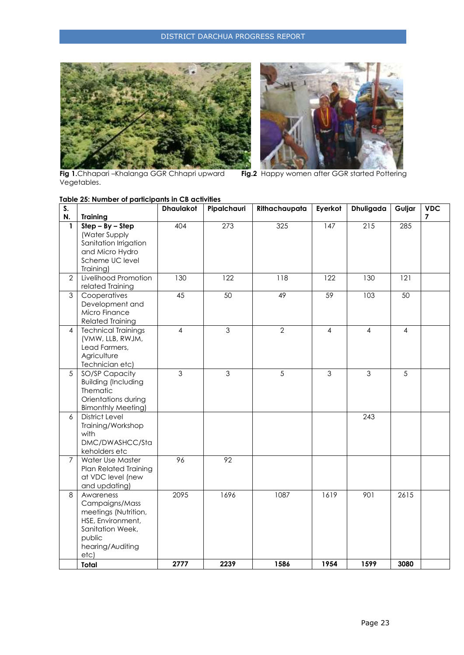



**Fig 1.**Chhapari –Khalanga GGR Chhapri upward **Fig.2** Happy women after GGR started Pottering Fig 1.Chhapari-Khalanga GGR Chhapri upward<br>Vegetables.

|                | Table 25: Number of participants in CB activities |                  |                |                |                |                |                |            |  |
|----------------|---------------------------------------------------|------------------|----------------|----------------|----------------|----------------|----------------|------------|--|
| S.             |                                                   | <b>Dhaulakot</b> | Pipalchauri    | Rithachaupata  | Eyerkot        | Dhuligada      | Guljar         | <b>VDC</b> |  |
| N.             | <b>Training</b>                                   |                  |                |                |                |                |                | 7          |  |
| $\mathbf{1}$   | $Step - By - Step$                                | 404              | 273            | 325            | 147            | 215            | 285            |            |  |
|                | (Water Supply                                     |                  |                |                |                |                |                |            |  |
|                | Sanitation Irrigation                             |                  |                |                |                |                |                |            |  |
|                | and Micro Hydro                                   |                  |                |                |                |                |                |            |  |
|                | Scheme UC level                                   |                  |                |                |                |                |                |            |  |
|                | Training)                                         |                  |                |                |                |                |                |            |  |
| $\mathbf{2}$   | Livelihood Promotion                              | 130              | 122            | 118            | 122            | 130            | 121            |            |  |
|                | related Training                                  |                  |                |                |                |                |                |            |  |
| $\mathfrak{S}$ | Cooperatives                                      | 45               | 50             | 49             | 59             | 103            | 50             |            |  |
|                | Development and                                   |                  |                |                |                |                |                |            |  |
|                | Micro Finance                                     |                  |                |                |                |                |                |            |  |
|                | <b>Related Training</b>                           |                  |                |                |                |                |                |            |  |
| 4              | <b>Technical Trainings</b>                        | $\overline{4}$   | $\overline{3}$ | $\overline{2}$ | 4              | $\overline{4}$ | 4              |            |  |
|                | (VMW, LLB, RWJM,                                  |                  |                |                |                |                |                |            |  |
|                | Lead Farmers,                                     |                  |                |                |                |                |                |            |  |
|                | Agriculture                                       |                  |                |                |                |                |                |            |  |
|                | Technician etc)                                   |                  |                |                |                |                |                |            |  |
| $\overline{5}$ | SO/SP Capacity                                    | $\overline{3}$   | $\overline{3}$ | 5              | $\overline{3}$ | $\overline{3}$ | $\overline{5}$ |            |  |
|                | <b>Building (Including</b>                        |                  |                |                |                |                |                |            |  |
|                | Thematic                                          |                  |                |                |                |                |                |            |  |
|                | Orientations during                               |                  |                |                |                |                |                |            |  |
|                | <b>Bimonthly Meeting)</b>                         |                  |                |                |                |                |                |            |  |
| 6              | <b>District Level</b>                             |                  |                |                |                | 243            |                |            |  |
|                | Training/Workshop                                 |                  |                |                |                |                |                |            |  |
|                | with                                              |                  |                |                |                |                |                |            |  |
|                | DMC/DWASHCC/Sta                                   |                  |                |                |                |                |                |            |  |
|                | keholders etc                                     |                  |                |                |                |                |                |            |  |
| $\overline{7}$ | Water Use Master                                  | 96               | 92             |                |                |                |                |            |  |
|                | <b>Plan Related Training</b>                      |                  |                |                |                |                |                |            |  |
|                | at VDC level (new                                 |                  |                |                |                |                |                |            |  |
|                | and updating)                                     |                  |                |                |                |                |                |            |  |
| 8              | Awareness                                         | 2095             | 1696           | 1087           | 1619           | 901            | 2615           |            |  |
|                | Campaigns/Mass                                    |                  |                |                |                |                |                |            |  |
|                | meetings (Nutrition,                              |                  |                |                |                |                |                |            |  |
|                | HSE, Environment,                                 |                  |                |                |                |                |                |            |  |
|                | Sanitation Week,                                  |                  |                |                |                |                |                |            |  |
|                | public                                            |                  |                |                |                |                |                |            |  |
|                | hearing/Auditing                                  |                  |                |                |                |                |                |            |  |
|                | etc)                                              |                  |                |                |                |                |                |            |  |
|                | Total                                             | 2777             | 2239           | 1586           | 1954           | 1599           | 3080           |            |  |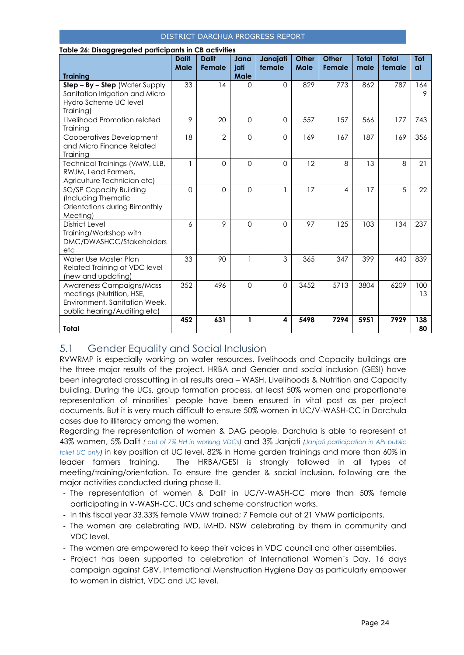| Table 26: Disaggregated participants in CB activities                                                                  |                      |                        |                             |                    |                      |                        |                      |                        |                  |
|------------------------------------------------------------------------------------------------------------------------|----------------------|------------------------|-----------------------------|--------------------|----------------------|------------------------|----------------------|------------------------|------------------|
| <b>Training</b>                                                                                                        | <b>Dalit</b><br>Male | <b>Dalit</b><br>Female | Jana<br>jati<br><b>Male</b> | Janajati<br>female | <b>Other</b><br>Male | <b>Other</b><br>Female | <b>Total</b><br>male | <b>Total</b><br>female | Tot<br><b>al</b> |
| $Step - By - Step$ (Water Supply<br>Sanitation Irrigation and Micro<br>Hydro Scheme UC level<br>Training)              | 33                   | 14                     | $\Omega$                    | 0                  | 829                  | 773                    | 862                  | 787                    | 164<br>9         |
| Livelihood Promotion related<br>Training                                                                               | 9                    | 20                     | $\Omega$                    | 0                  | 557                  | 157                    | 566                  | 177                    | 743              |
| Cooperatives Development<br>and Micro Finance Related<br>Training                                                      | 18                   | $\overline{2}$         | $\Omega$                    | $\Omega$           | 169                  | 167                    | 187                  | 169                    | 356              |
| Technical Trainings (VMW, LLB,<br>RWJM, Lead Farmers,<br>Agriculture Technician etc)                                   | $\mathbf{1}$         | 0                      | $\Omega$                    | 0                  | 12                   | 8                      | 13                   | 8                      | 21               |
| SO/SP Capacity Building<br>(Including Thematic<br>Orientations during Bimonthly<br>Meeting)                            | $\Omega$             | $\Omega$               | $\Omega$                    | 1                  | 17                   | $\overline{4}$         | 17                   | 5                      | 22               |
| <b>District Level</b><br>Training/Workshop with<br>DMC/DWASHCC/Stakeholders<br>etc                                     | 6                    | 9                      | $\Omega$                    | $\Omega$           | 97                   | 125                    | 103                  | 134                    | 237              |
| Water Use Master Plan<br>Related Training at VDC level<br>(new and updating)                                           | 33                   | 90                     | 1                           | 3                  | 365                  | 347                    | 399                  | 440                    | 839              |
| Awareness Campaigns/Mass<br>meetings (Nutrition, HSE,<br>Environment, Sanitation Week,<br>public hearing/Auditing etc) | 352                  | 496                    | $\Omega$                    | $\Omega$           | 3452                 | 5713                   | 3804                 | 6209                   | 100<br>13        |
| Total                                                                                                                  | 452                  | 631                    | 1                           | 4                  | 5498                 | 7294                   | 5951                 | 7929                   | 138<br>80        |

### <span id="page-23-0"></span>5.1 Gender Equality and Social Inclusion

RVWRMP is especially working on water resources, livelihoods and Capacity buildings are the three major results of the project. HRBA and Gender and social inclusion (GESI) have been integrated crosscutting in all results area – WASH, Livelihoods & Nutrition and Capacity building. During the UCs, group formation process, at least 50% women and proportionate representation of minorities' people have been ensured in vital post as per project documents. But it is very much difficult to ensure 50% women in UC/V-WASH-CC in Darchula cases due to illiteracy among the women.

Regarding the representation of women & DAG people, Darchula is able to represent at 43% women, 5% Dalit *( out of 7% HH in working VDCs)* and 3% Janjati *(Janjati participation in API public toilet UC only)* in key position at UC level, 82% in Home garden trainings and more than 60% in leader farmers training. The HRBA/GESI is strongly followed in all types of meeting/training/orientation. To ensure the gender & social inclusion, following are the major activities conducted during phase II.

- The representation of women & Dalit in UC/V-WASH-CC more than 50% female participating in V-WASH-CC, UCs and scheme construction works.
- In this fiscal year 33.33% female VMW trained; 7 Female out of 21 VMW participants.
- The women are celebrating IWD, IMHD, NSW celebrating by them in community and VDC level.
- The women are empowered to keep their voices in VDC council and other assemblies.
- Project has been supported to celebration of International Women's Day, 16 days campaign against GBV, International Menstruation Hygiene Day as particularly empower to women in district, VDC and UC level.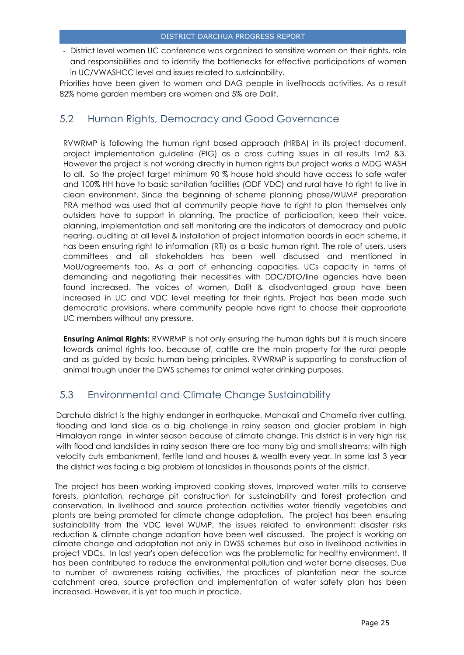- District level women UC conference was organized to sensitize women on their rights, role and responsibilities and to identify the bottlenecks for effective participations of women in UC/VWASHCC level and issues related to sustainability.

Priorities have been given to women and DAG people in livelihoods activities. As a result 82% home garden members are women and 5% are Dalit.

### <span id="page-24-0"></span>5.2 Human Rights, Democracy and Good Governance

RVWRMP is following the human right based approach (HRBA) in its project document, project implementation guideline (PIG) as a cross cutting issues in all results 1m2 &3. However the project is not working directly in human rights but project works a MDG WASH to all. So the project target minimum 90 % house hold should have access to safe water and 100% HH have to basic sanitation facilities (ODF VDC) and rural have to right to live in clean environment. Since the beginning of scheme planning phase/WUMP preparation PRA method was used that all community people have to right to plan themselves only outsiders have to support in planning. The practice of participation, keep their voice, planning, implementation and self monitoring are the indicators of democracy and public hearing, auditing at all level & installation of project information boards in each scheme, it has been ensuring right to information (RTI) as a basic human right. The role of users, users committees and all stakeholders has been well discussed and mentioned in MoU/agreements too. As a part of enhancing capacities, UCs capacity in terms of demanding and negotiating their necessities with DDC/DTO/line agencies have been found increased. The voices of women, Dalit & disadvantaged group have been increased in UC and VDC level meeting for their rights. Project has been made such democratic provisions, where community people have right to choose their appropriate UC members without any pressure.

**Ensuring Animal Rights:** RVWRMP is not only ensuring the human rights but it is much sincere towards animal rights too, because of, cattle are the main property for the rural people and as guided by basic human being principles, RVWRMP is supporting to construction of animal trough under the DWS schemes for animal water drinking purposes.

### <span id="page-24-1"></span>5.3 Environmental and Climate Change Sustainability

Darchula district is the highly endanger in earthquake, Mahakali and Chamelia river cutting, flooding and land slide as a big challenge in rainy season and glacier problem in high Himalayan range in winter season because of climate change. This district is in very high risk with flood and landslides in rainy season there are too many big and small streams; with high velocity cuts embankment, fertile land and houses & wealth every year. In some last 3 year the district was facing a big problem of landslides in thousands points of the district.

The project has been working improved cooking stoves, Improved water mills to conserve forests, plantation, recharge pit construction for sustainability and forest protection and conservation. In livelihood and source protection activities water friendly vegetables and plants are being promoted for climate change adaptation. The project has been ensuring sustainability from the VDC level WUMP, the issues related to environment; disaster risks reduction & climate change adaption have been well discussed. The project is working on climate change and adaptation not only in DWSS schemes but also in livelihood activities in project VDCs. In last year's open defecation was the problematic for healthy environment. It has been contributed to reduce the environmental pollution and water borne diseases. Due to number of awareness raising activities, the practices of plantation near the source catchment area, source protection and implementation of water safety plan has been increased. However, it is yet too much in practice.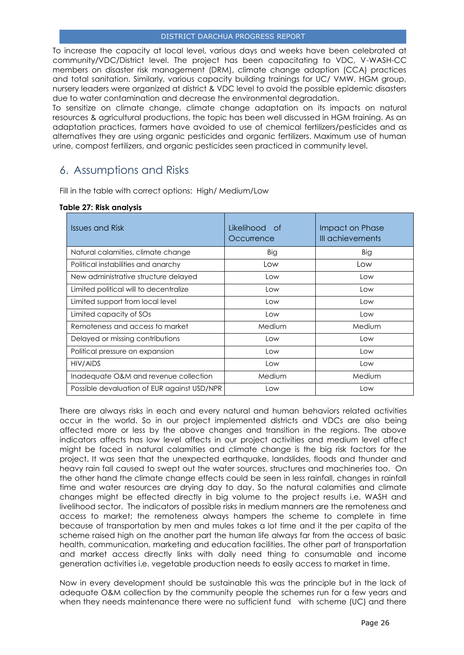To increase the capacity at local level, various days and weeks have been celebrated at community/VDC/District level. The project has been capacitating to VDC, V-WASH-CC members on disaster risk management (DRM), climate change adaption (CCA) practices and total sanitation. Similarly, various capacity building trainings for UC/ VMW, HGM group, nursery leaders were organized at district & VDC level to avoid the possible epidemic disasters due to water contamination and decrease the environmental degradation.

To sensitize on climate change, climate change adaptation on its impacts on natural resources & agricultural productions, the topic has been well discussed in HGM training. As an adaptation practices, farmers have avoided to use of chemical fertilizers/pesticides and as alternatives they are using organic pesticides and organic fertilizers. Maximum use of human urine, compost fertilizers, and organic pesticides seen practiced in community level.

### <span id="page-25-0"></span>6. Assumptions and Risks

Fill in the table with correct options: High/ Medium/Low

#### **Table 27: Risk analysis**

| <b>Issues and Risk</b>                      | Likelihood of<br>Occurrence | Impact on Phase<br>III achievements |
|---------------------------------------------|-----------------------------|-------------------------------------|
| Natural calamities, climate change          | Big                         | Big                                 |
| Political instabilities and anarchy         | Low                         | Low                                 |
| New administrative structure delayed        | Low                         | Low                                 |
| Limited political will to decentralize      | Low                         | Low                                 |
| Limited support from local level            | Low                         | Low                                 |
| Limited capacity of SOs                     | Low                         | Low                                 |
| Remoteness and access to market             | Medium                      | Medium                              |
| Delayed or missing contributions            | Low                         | Low                                 |
| Political pressure on expansion             | Low                         | Low                                 |
| HIV/AIDS                                    | Low                         | Low                                 |
| Inadequate O&M and revenue collection       | Medium                      | Medium                              |
| Possible devaluation of EUR against USD/NPR | Low                         | Low                                 |

There are always risks in each and every natural and human behaviors related activities occur in the world. So in our project implemented districts and VDCs are also being affected more or less by the above changes and transition in the regions. The above indicators affects has low level affects in our project activities and medium level affect might be faced in natural calamities and climate change is the big risk factors for the project. It was seen that the unexpected earthquake, landslides, floods and thunder and heavy rain fall caused to swept out the water sources, structures and machineries too. On the other hand the climate change effects could be seen in less rainfall, changes in rainfall time and water resources are drying day to day. So the natural calamities and climate changes might be effected directly in big volume to the project results i.e. WASH and livelihood sector. The indicators of possible risks in medium manners are the remoteness and access to market; the remoteness always hampers the scheme to complete in time because of transportation by men and mules takes a lot time and it the per capita of the scheme raised high on the another part the human life always far from the access of basic health, communication, marketing and education facilities. The other part of transportation and market access directly links with daily need thing to consumable and income generation activities i.e. vegetable production needs to easily access to market in time.

Now in every development should be sustainable this was the principle but in the lack of adequate O&M collection by the community people the schemes run for a few years and when they needs maintenance there were no sufficient fund with scheme (UC) and there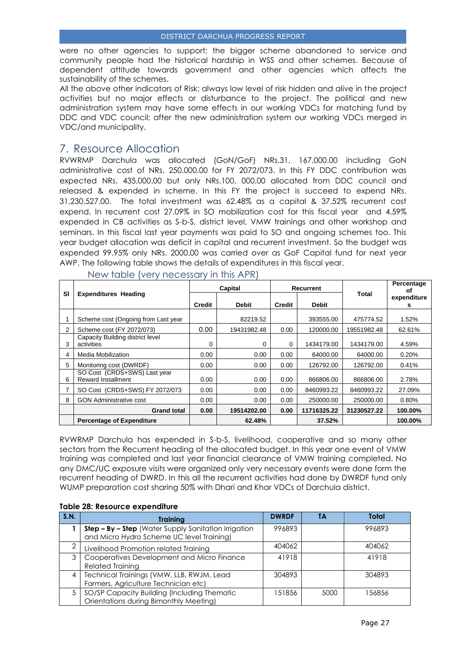were no other agencies to support; the bigger scheme abandoned to service and community people had the historical hardship in WSS and other schemes. Because of dependent attitude towards government and other agencies which affects the sustainability of the schemes.

All the above other indicators of Risk; always low level of risk hidden and alive in the project activities but no major effects or disturbance to the project. The political and new administration system may have some effects in our working VDCs for matching fund by DDC and VDC council; after the new administration system our working VDCs merged in VDC/and municipality.

### <span id="page-26-0"></span>7. Resource Allocation

RVWRMP Darchula was allocated (GoN/GoF) NRs.31, 167,000.00 including GoN administrative cost of NRs. 250,000.00 for FY 2072/073. In this FY DDC contribution was expected NRs. 435,000.00 but only NRs.100, 000.00 allocated from DDC council and released & expended in scheme. In this FY the project is succeed to expend NRs. 31,230,527.00. The total investment was 62.48% as a capital & 37.52% recurrent cost expend. In recurrent cost 27.09% in SO mobilization cost for this fiscal year and 4.59% expended in CB activities as S-b-S, district level, VMW trainings and other workshop and seminars. In this fiscal last year payments was paid to SO and ongoing schemes too. This year budget allocation was deficit in capital and recurrent investment. So the budget was expended 99.95% only NRs. 2000.00 was carried over as GoF Capital fund for next year AWP. The following table shows the details of expenditures in this fiscal year.

|    |                                                           | Capital |                                        |      | Recurrent   |             | Percentage<br>οf |
|----|-----------------------------------------------------------|---------|----------------------------------------|------|-------------|-------------|------------------|
| SI | <b>Expenditures Heading</b>                               | Credit  | <b>Debit</b><br><b>Debit</b><br>Credit |      |             | Total       | expenditure<br>s |
|    | Scheme cost (Ongoing from Last year                       |         | 82219.52                               |      | 393555.00   | 475774.52   | 1.52%            |
| 2  | Scheme cost (FY 2072/073)                                 | 0.00    | 19431982.48                            | 0.00 | 120000.00   | 19551982.48 | 62.61%           |
| 3  | Capacity Building district level<br>activities            | 0       | 0                                      | 0    | 1434179.00  | 1434179.00  | 4.59%            |
| 4  | Media Mobilization                                        | 0.00    | 0.00                                   | 0.00 | 64000.00    | 64000.00    | 0.20%            |
| 5  | Monitoring cost (DWRDF)                                   | 0.00    | 0.00                                   | 0.00 | 126792.00   | 126792.00   | 0.41%            |
| 6  | SO Cost (CRDS+SWS) Last year<br><b>Reward Installment</b> | 0.00    | 0.00                                   | 0.00 | 866806.00   | 866806.00   | 2.78%            |
|    | SO Cost (CRDS+SWS) FY 2072/073                            | 0.00    | 0.00                                   | 0.00 | 8460993.22  | 8460993.22  | 27.09%           |
| 8  | <b>GON Administrative cost</b>                            | 0.00    | 0.00                                   | 0.00 | 250000.00   | 250000.00   | 0.80%            |
|    | <b>Grand total</b>                                        | 0.00    | 19514202.00                            | 0.00 | 11716325.22 | 31230527.22 | 100.00%          |
|    | <b>Percentage of Expenditure</b>                          |         | 62.48%                                 |      | 37.52%      |             | 100.00%          |

New table (very necessary in this APR)

RVWRMP Darchula has expended in S-b-S, livelihood, cooperative and so many other sectors from the Recurrent heading of the allocated budget. In this year one event of VMW training was completed and last year financial clearance of VMW training completed. No any DMC/UC exposure visits were organized only very necessary events were done form the recurrent heading of DWRD. In this all the recurrent activities had done by DWRDF fund only WUMP preparation cost sharing 50% with Dhari and Khar VDCs of Darchula district.

| S.N. | <b>Training</b>                                                                                   | <b>DWRDF</b> | TΑ   | Total  |
|------|---------------------------------------------------------------------------------------------------|--------------|------|--------|
|      | Step - By - Step (Water Supply Sanitation Irrigation<br>and Micro Hydro Scheme UC level Training) | 996893       |      | 996893 |
|      | Livelihood Promotion related Training                                                             | 404062       |      | 404062 |
| 3    | Cooperatives Development and Micro Finance<br><b>Related Training</b>                             | 41918        |      | 41918  |
|      | Technical Trainings (VMW, LLB, RWJM, Lead<br>Farmers, Agriculture Technician etc)                 | 304893       |      | 304893 |
| 5    | SO/SP Capacity Building (Including Thematic<br>Orientations during Bimonthly Meeting)             | 151856       | 5000 | 56856  |

#### **Table 28: Resource expenditure**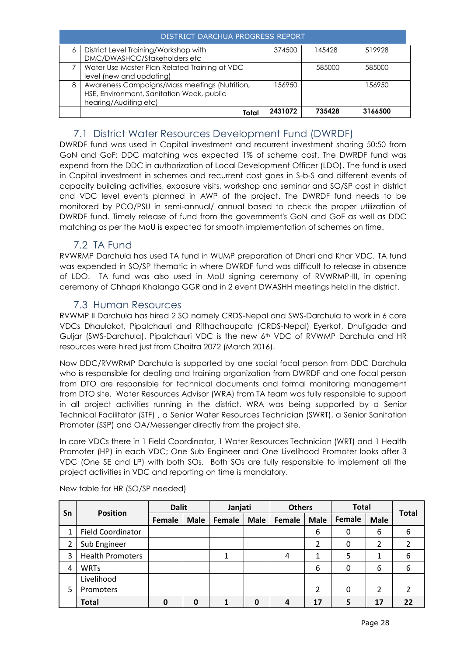|   | DISTRICT DARCHUA PROGRESS REPORT                                                                                    |         |        |         |  |  |  |  |  |
|---|---------------------------------------------------------------------------------------------------------------------|---------|--------|---------|--|--|--|--|--|
| 6 | District Level Training/Workshop with<br>DMC/DWASHCC/Stakeholders etc                                               | 374500  | 145428 | 519928  |  |  |  |  |  |
|   | Water Use Master Plan Related Training at VDC<br>level (new and updating)                                           |         | 585000 | 585000  |  |  |  |  |  |
| 8 | Awareness Campaigns/Mass meetings (Nutrition,<br>HSE, Environment, Sanitation Week, public<br>hearing/Auditing etc) | 156950  |        | 156950  |  |  |  |  |  |
|   | Tota                                                                                                                | 2431072 | 735428 | 3166500 |  |  |  |  |  |

### 7.1 District Water Resources Development Fund (DWRDF)

<span id="page-27-0"></span>DWRDF fund was used in Capital investment and recurrent investment sharing 50:50 from GoN and GoF; DDC matching was expected 1% of scheme cost. The DWRDF fund was expend from the DDC in authorization of Local Development Officer (LDO). The fund is used in Capital investment in schemes and recurrent cost goes in S-b-S and different events of capacity building activities, exposure visits, workshop and seminar and SO/SP cost in district and VDC level events planned in AWP of the project. The DWRDF fund needs to be monitored by PCO/PSU in semi-annual/ annual based to check the proper utilization of DWRDF fund. Timely release of fund from the government's GoN and GoF as well as DDC matching as per the MoU is expected for smooth implementation of schemes on time.

### 7.2 TA Fund

<span id="page-27-1"></span>RVWRMP Darchula has used TA fund in WUMP preparation of Dhari and Khar VDC. TA fund was expended in SO/SP thematic in where DWRDF fund was difficult to release in absence of LDO. TA fund was also used in MoU signing ceremony of RVWRMP-III, in opening ceremony of Chhapri Khalanga GGR and in 2 event DWASHH meetings held in the district.

### 7.3 Human Resources

<span id="page-27-2"></span>RVWMP II Darchula has hired 2 SO namely CRDS-Nepal and SWS-Darchula to work in 6 core VDCs Dhaulakot, Pipalchauri and Rithachaupata (CRDS-Nepal) Eyerkot, Dhuligada and Guljar (SWS-Darchula). Pipalchauri VDC is the new 6<sup>th</sup> VDC of RVWMP Darchula and HR resources were hired just from Chaitra 2072 (March 2016).

Now DDC/RVWRMP Darchula is supported by one social focal person from DDC Darchula who is responsible for dealing and training organization from DWRDF and one focal person from DTO are responsible for technical documents and formal monitoring management from DTO site. Water Resources Advisor (WRA) from TA team was fully responsible to support in all project activities running in the district. WRA was being supported by a Senior Technical Facilitator (STF) , a Senior Water Resources Technician (SWRT), a Senior Sanitation Promoter (SSP) and OA/Messenger directly from the project site.

In core VDCs there in 1 Field Coordinator, 1 Water Resources Technician (WRT) and 1 Health Promoter (HP) in each VDC; One Sub Engineer and One Livelihood Promoter looks after 3 VDC (One SE and LP) with both SOs. Both SOs are fully responsible to implement all the project activities in VDC and reporting on time is mandatory.

| Sn |                          | <b>Dalit</b>  |             | Janjati |             | <b>Others</b> |             | <b>Total</b> |                         |              |
|----|--------------------------|---------------|-------------|---------|-------------|---------------|-------------|--------------|-------------------------|--------------|
|    | <b>Position</b>          | <b>Female</b> | <b>Male</b> | Female  | <b>Male</b> | Female        | <b>Male</b> | Female       | <b>Male</b>             | <b>Total</b> |
| 1  | <b>Field Coordinator</b> |               |             |         |             |               | 6           | 0            | 6                       | 6            |
| 2  | Sub Engineer             |               |             |         |             |               | 2           | 0            | 2                       |              |
| 3  | <b>Health Promoters</b>  |               |             |         |             | 4             | 1           |              | 1                       | 6            |
| 4  | <b>WRTs</b>              |               |             |         |             |               | 6           | 0            | 6                       | 6            |
|    | Livelihood               |               |             |         |             |               |             |              |                         |              |
| 5  | Promoters                |               |             |         |             |               | 2           | 0            | $\overline{\mathbf{c}}$ | 2            |
|    | <b>Total</b>             | $\mathbf 0$   | 0           |         | 0           | 4             | 17          |              | 17                      | 22           |

New table for HR (SO/SP needed)